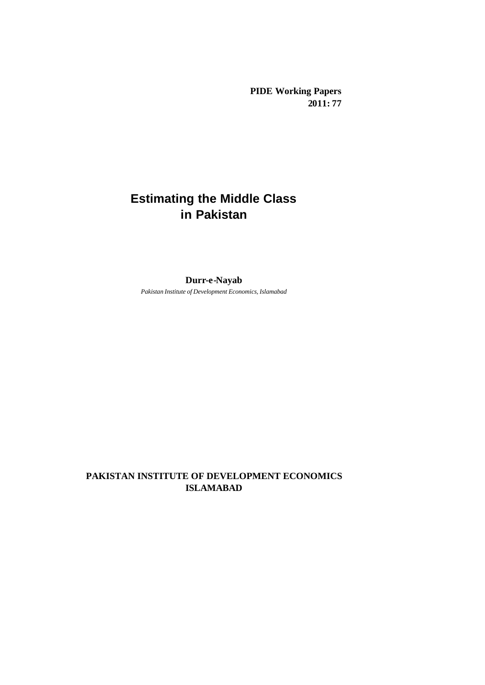**PIDE Working Papers 2011: 77**

# **Estimating the Middle Class in Pakistan**

# **Durr-e-Nayab**

*Pakistan Institute of Development Economics, Islamabad*

# **PAKISTAN INSTITUTE OF DEVELOPMENT ECONOMICS ISLAMABAD**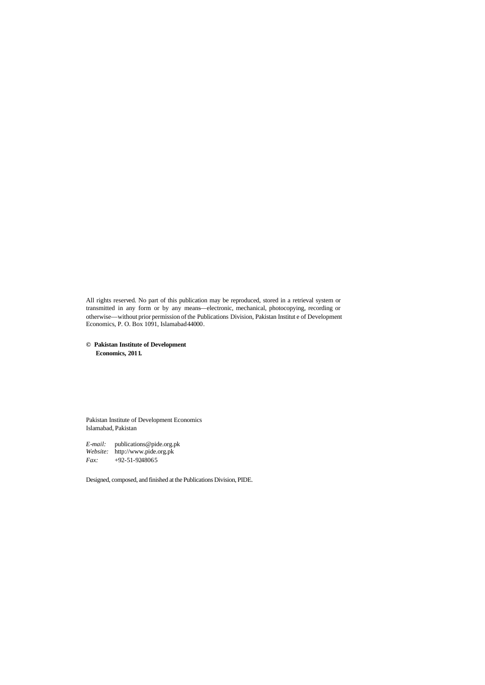All rights reserved. No part of this publication may be reproduced, stored in a retrieval system or transmitted in any form or by any means—electronic, mechanical, photocopying, recording or otherwise—without prior permission of the Publications Division, Pakistan Institut e of Development Economics, P. O. Box 1091, Islamabad 44000.

**© Pakistan Institute of Development Economics, 2011.**

Pakistan Institute of Development Economics Islamabad, Pakistan

*E-mail:* publications@pide.org.pk *Website:* http://www.pide.org.pk *Fax:* +92-51-9248065

Designed, composed, and finished at the Publications Division, PIDE.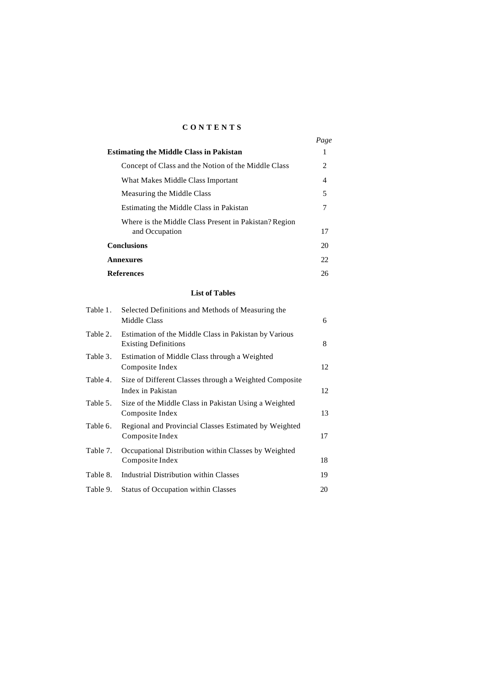# **CONTENTS**

|                                                       | Page |
|-------------------------------------------------------|------|
| <b>Estimating the Middle Class in Pakistan</b>        | 1    |
| Concept of Class and the Notion of the Middle Class   | 2    |
| What Makes Middle Class Important                     | 4    |
| Measuring the Middle Class                            | 5    |
| Estimating the Middle Class in Pakistan               | 7    |
| Where is the Middle Class Present in Pakistan? Region |      |
| and Occupation                                        | 17   |
| <b>Conclusions</b>                                    | 20   |
| Annexures                                             | 22   |
| <b>References</b>                                     | 26   |

#### **List of Tables**

| Table 1. | Selected Definitions and Methods of Measuring the<br>Middle Class                    | 6  |
|----------|--------------------------------------------------------------------------------------|----|
| Table 2. | Estimation of the Middle Class in Pakistan by Various<br><b>Existing Definitions</b> | 8  |
| Table 3. | Estimation of Middle Class through a Weighted<br>Composite Index                     | 12 |
| Table 4. | Size of Different Classes through a Weighted Composite<br>Index in Pakistan          | 12 |
| Table 5. | Size of the Middle Class in Pakistan Using a Weighted<br>Composite Index             | 13 |
| Table 6. | Regional and Provincial Classes Estimated by Weighted<br>Composite Index             | 17 |
| Table 7. | Occupational Distribution within Classes by Weighted<br>Composite Index              | 18 |
| Table 8. | Industrial Distribution within Classes                                               | 19 |
| Table 9. | <b>Status of Occupation within Classes</b>                                           | 20 |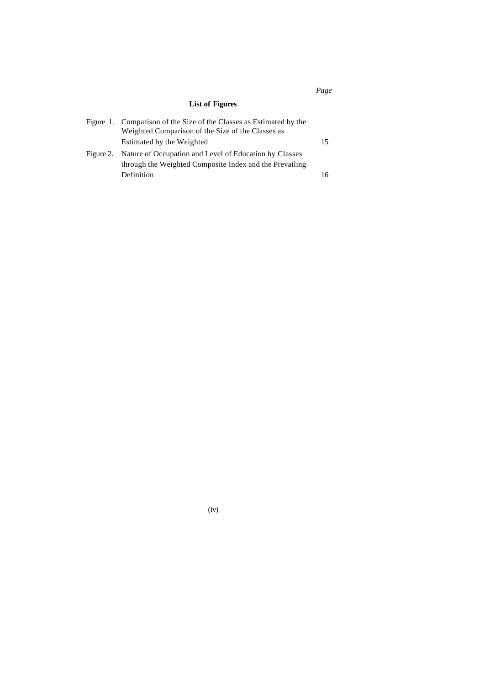# **List of Figures**

| Figure 1. Comparison of the Size of the Classes as Estimated by the<br>Weighted Comparison of the Size of the Classes as |    |
|--------------------------------------------------------------------------------------------------------------------------|----|
| Estimated by the Weighted                                                                                                | 15 |
| Figure 2. Nature of Occupation and Level of Education by Classes                                                         |    |
| through the Weighted Composite Index and the Prevailing                                                                  |    |
| Definition                                                                                                               | 16 |

(iv)

# *Page*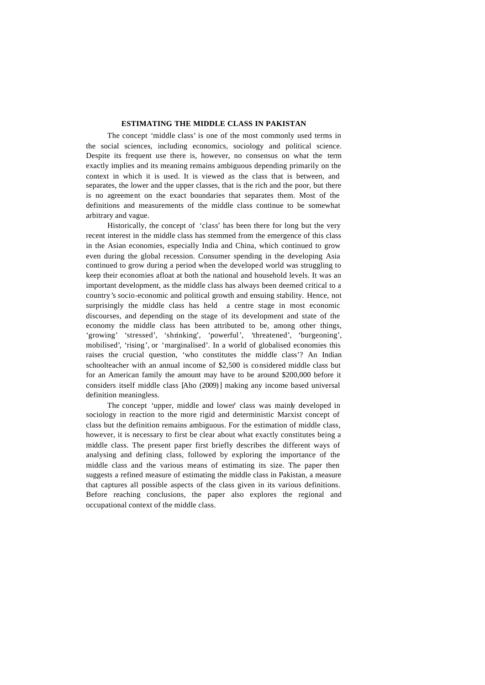### **ESTIMATING THE MIDDLE CLASS IN PAKISTAN**

The concept 'middle class' is one of the most commonly used terms in the social sciences, including economics, sociology and political science. Despite its frequent use there is, however, no consensus on what the term exactly implies and its meaning remains ambiguous depending primarily on the context in which it is used. It is viewed as the class that is between, and separates, the lower and the upper classes, that is the rich and the poor, but there is no agreement on the exact boundaries that separates them. Most of the definitions and measurements of the middle class continue to be somewhat arbitrary and vague.

Historically, the concept of 'class' has been there for long but the very recent interest in the middle class has stemmed from the emergence of this class in the Asian economies, especially India and China, which continued to grow even during the global recession. Consumer spending in the developing Asia continued to grow during a period when the developed world was struggling to keep their economies afloat at both the national and household levels. It was an important development, as the middle class has always been deemed critical to a country's socio-economic and political growth and ensuing stability. Hence, not surprisingly the middle class has held a centre stage in most economic discourses, and depending on the stage of its development and state of the economy the middle class has been attributed to be, among other things, 'growing' 'stressed', 'shrinking', 'powerful', 'threatened', 'burgeoning', mobilised', 'rising', or 'marginalised'. In a world of globalised economies this raises the crucial question, 'who constitutes the middle class'? An Indian schoolteacher with an annual income of \$2,500 is considered middle class but for an American family the amount may have to be around \$200,000 before it considers itself middle class [Aho (2009)] making any income based universal definition meaningless.

The concept 'upper, middle and lower' class was mainly developed in sociology in reaction to the more rigid and deterministic Marxist concept of class but the definition remains ambiguous. For the estimation of middle class, however, it is necessary to first be clear about what exactly constitutes being a middle class. The present paper first briefly describes the different ways of analysing and defining class, followed by exploring the importance of the middle class and the various means of estimating its size. The paper then suggests a refined measure of estimating the middle class in Pakistan, a measure that captures all possible aspects of the class given in its various definitions. Before reaching conclusions, the paper also explores the regional and occupational context of the middle class.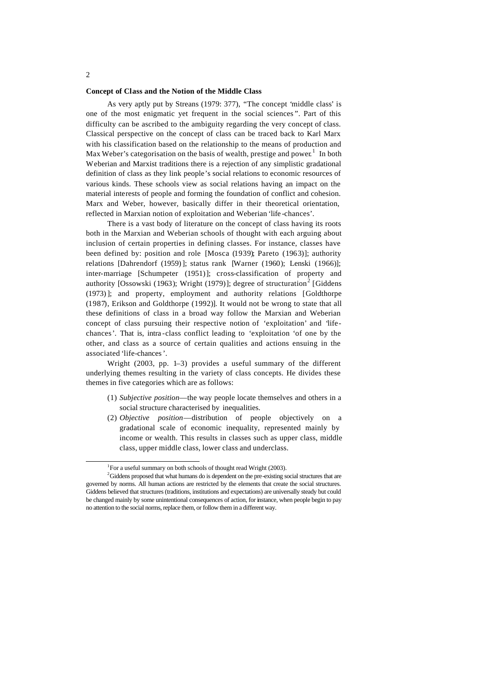#### **Concept of Class and the Notion of the Middle Class**

As very aptly put by Streans (1979: 377), "The concept 'middle class' is one of the most enigmatic yet frequent in the social sciences ". Part of this difficulty can be ascribed to the ambiguity regarding the very concept of class. Classical perspective on the concept of class can be traced back to Karl Marx with his classification based on the relationship to the means of production and Max Weber's categorisation on the basis of wealth, prestige and power.<sup>1</sup> In both Weberian and Marxist traditions there is a rejection of any simplistic gradational definition of class as they link people's social relations to economic resources of various kinds. These schools view as social relations having an impact on the material interests of people and forming the foundation of conflict and cohesion. Marx and Weber, however, basically differ in their theoretical orientation, reflected in Marxian notion of exploitation and Weberian 'life -chances'.

There is a vast body of literature on the concept of class having its roots both in the Marxian and Weberian schools of thought with each arguing about inclusion of certain properties in defining classes. For instance, classes have been defined by: position and role [Mosca (1939); Pareto (1963)]; authority relations [Dahrendorf (1959)]; status rank [Warner (1960); Lenski (1966)]; inter-marriage [Schumpeter (1951)]; cross-classification of property and authority [Ossowski (1963); Wright (1979)]; degree of structuration<sup>2</sup> [Giddens (1973)]; and property, employment and authority relations [Goldthorpe (1987), Erikson and Goldthorpe (1992)]. It would not be wrong to state that all these definitions of class in a broad way follow the Marxian and Weberian concept of class pursuing their respective notion of 'exploitation' and 'lifechances'. That is, intra -class conflict leading to 'exploitation 'of one by the other, and class as a source of certain qualities and actions ensuing in the associated 'life-chances'.

Wright (2003, pp. 1–3) provides a useful summary of the different underlying themes resulting in the variety of class concepts. He divides these themes in five categories which are as follows:

- (1) *Subjective position*—the way people locate themselves and others in a social structure characterised by inequalities.
- (2) *Objective position*—distribution of people objectively on a gradational scale of economic inequality, represented mainly by income or wealth. This results in classes such as upper class, middle class, upper middle class, lower class and underclass.

j

<sup>&</sup>lt;sup>1</sup>For a useful summary on both schools of thought read Wright (2003).

<sup>&</sup>lt;sup>2</sup>Giddens proposed that what humans do is dependent on the pre-existing social structures that are governed by norms. All human actions are restricted by the elements that create the social structures. Giddens believed that structures (traditions, institutions and expectations) are universally steady but could be changed mainly by some unintentional consequences of action, for instance, when people begin to pay no attention to the social norms, replace them, or follow them in a different way.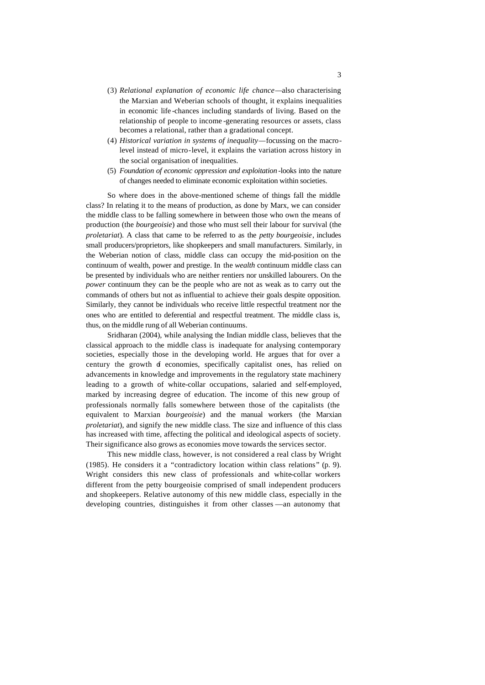- (3) *Relational explanation of economic life chance—*also characterising the Marxian and Weberian schools of thought, it explains inequalities in economic life -chances including standards of living. Based on the relationship of people to income -generating resources or assets, class becomes a relational, rather than a gradational concept.
- (4) *Historical variation in systems of inequality—*focussing on the macrolevel instead of micro-level, it explains the variation across history in the social organisation of inequalities.
- (5) *Foundation of economic oppression and exploitation -*looks into the nature of changes needed to eliminate economic exploitation within societies.

So where does in the above-mentioned scheme of things fall the middle class? In relating it to the means of production, as done by Marx, we can consider the middle class to be falling somewhere in between those who own the means of production (the *bourgeoisie*) and those who must sell their labour for survival (the *proletariat*). A class that came to be referred to as the *petty bourgeoisie*, includes small producers/proprietors, like shopkeepers and small manufacturers. Similarly, in the Weberian notion of class, middle class can occupy the mid-position on the continuum of wealth, power and prestige. In the *wealth* continuum middle class can be presented by individuals who are neither rentiers nor unskilled labourers. On the *power* continuum they can be the people who are not as weak as to carry out the commands of others but not as influential to achieve their goals despite opposition. Similarly, they cannot be individuals who receive little respectful treatment nor the ones who are entitled to deferential and respectful treatment. The middle class is, thus, on the middle rung of all Weberian continuums.

Sridharan (2004), while analysing the Indian middle class, believes that the classical approach to the middle class is inadequate for analysing contemporary societies, especially those in the developing world. He argues that for over a century the growth of economies, specifically capitalist ones, has relied on advancements in knowledge and improvements in the regulatory state machinery leading to a growth of white-collar occupations, salaried and self-employed, marked by increasing degree of education. The income of this new group of professionals normally falls somewhere between those of the capitalists (the equivalent to Marxian *bourgeoisie*) and the manual workers (the Marxian *proletariat*), and signify the new middle class. The size and influence of this class has increased with time, affecting the political and ideological aspects of society. Their significance also grows as economies move towards the services sector.

This new middle class, however, is not considered a real class by Wright (1985). He considers it a "contradictory location within class relations" (p. 9). Wright considers this new class of professionals and white-collar workers different from the petty bourgeoisie comprised of small independent producers and shopkeepers. Relative autonomy of this new middle class, especially in the developing countries, distinguishes it from other classes —an autonomy that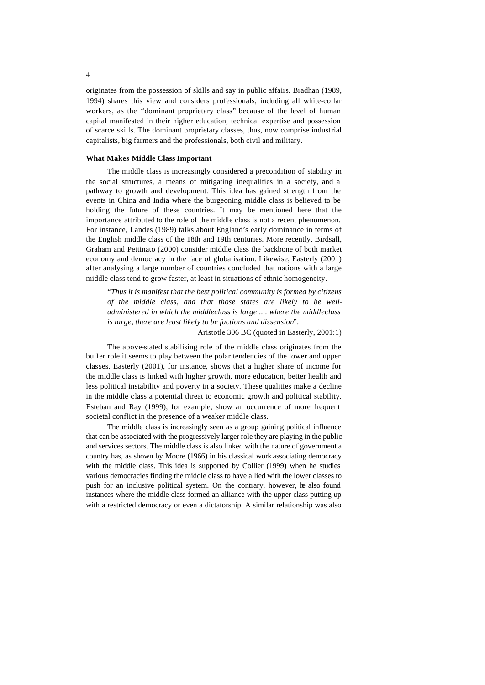originates from the possession of skills and say in public affairs. Bradhan (1989, 1994) shares this view and considers professionals, including all white-collar workers, as the "dominant proprietary class" because of the level of human capital manifested in their higher education, technical expertise and possession of scarce skills. The dominant proprietary classes, thus, now comprise industrial capitalists, big farmers and the professionals, both civil and military.

#### **What Makes Middle Class Important**

The middle class is increasingly considered a precondition of stability in the social structures, a means of mitigating inequalities in a society, and a pathway to growth and development. This idea has gained strength from the events in China and India where the burgeoning middle class is believed to be holding the future of these countries. It may be mentioned here that the importance attributed to the role of the middle class is not a recent phenomenon. For instance, Landes (1989) talks about England's early dominance in terms of the English middle class of the 18th and 19th centuries. More recently, Birdsall, Graham and Pettinato (2000) consider middle class the backbone of both market economy and democracy in the face of globalisation. Likewise, Easterly (2001) after analysing a large number of countries concluded that nations with a large middle class tend to grow faster, at least in situations of ethnic homogeneity.

"*Thus it is manifest that the best political community is formed by citizens of the middle class, and that those states are likely to be welladministered in which the middleclass is large .... where the middleclass is large, there are least likely to be factions and dissension*"*.*

Aristotle 306 BC (quoted in Easterly, 2001:1)

The above-stated stabilising role of the middle class originates from the buffer role it seems to play between the polar tendencies of the lower and upper classes. Easterly (2001), for instance, shows that a higher share of income for the middle class is linked with higher growth, more education, better health and less political instability and poverty in a society. These qualities make a decline in the middle class a potential threat to economic growth and political stability. Esteban and Ray (1999), for example, show an occurrence of more frequent societal conflict in the presence of a weaker middle class.

The middle class is increasingly seen as a group gaining political influence that can be associated with the progressively larger role they are playing in the public and services sectors. The middle class is also linked with the nature of government a country has, as shown by Moore (1966) in his classical work associating democracy with the middle class. This idea is supported by Collier (1999) when he studies various democracies finding the middle class to have allied with the lower classes to push for an inclusive political system. On the contrary, however, he also found instances where the middle class formed an alliance with the upper class putting up with a restricted democracy or even a dictatorship. A similar relationship was also

4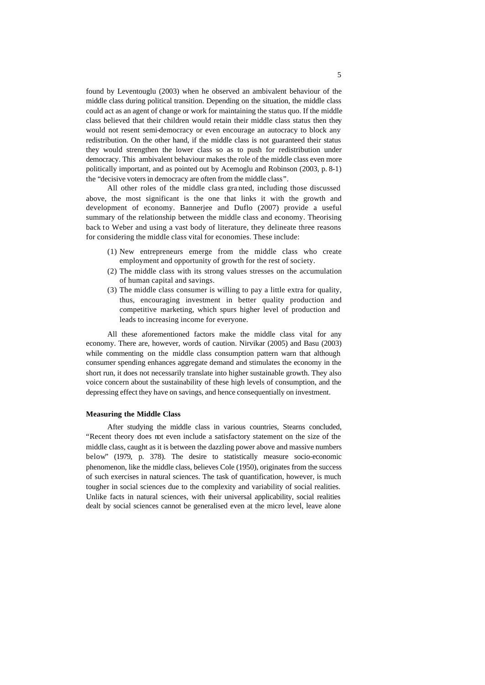found by Leventouglu (2003) when he observed an ambivalent behaviour of the middle class during political transition. Depending on the situation, the middle class could act as an agent of change or work for maintaining the status quo. If the middle class believed that their children would retain their middle class status then they would not resent semi-democracy or even encourage an autocracy to block any redistribution. On the other hand, if the middle class is not guaranteed their status they would strengthen the lower class so as to push for redistribution under democracy. This ambivalent behaviour makes the role of the middle class even more politically important, and as pointed out by Acemoglu and Robinson (2003, p. 8-1) the "decisive voters in democracy are often from the middle class".

All other roles of the middle class gra nted, including those discussed above, the most significant is the one that links it with the growth and development of economy. Bannerjee and Duflo (2007) provide a useful summary of the relationship between the middle class and economy. Theorising back to Weber and using a vast body of literature, they delineate three reasons for considering the middle class vital for economies. These include:

- (1) New entrepreneurs emerge from the middle class who create employment and opportunity of growth for the rest of society.
- (2) The middle class with its strong values stresses on the accumulation of human capital and savings.
- (3) The middle class consumer is willing to pay a little extra for quality, thus, encouraging investment in better quality production and competitive marketing, which spurs higher level of production and leads to increasing income for everyone.

All these aforementioned factors make the middle class vital for any economy. There are, however, words of caution. Nirvikar (2005) and Basu (2003) while commenting on the middle class consumption pattern warn that although consumer spending enhances aggregate demand and stimulates the economy in the short run, it does not necessarily translate into higher sustainable growth. They also voice concern about the sustainability of these high levels of consumption, and the depressing effect they have on savings, and hence consequentially on investment.

### **Measuring the Middle Class**

After studying the middle class in various countries, Stearns concluded, "Recent theory does not even include a satisfactory statement on the size of the middle class, caught as it is between the dazzling power above and massive numbers below" (1979, p. 378). The desire to statistically measure socio-economic phenomenon, like the middle class, believes Cole (1950), originates from the success of such exercises in natural sciences. The task of quantification, however, is much tougher in social sciences due to the complexity and variability of social realities. Unlike facts in natural sciences, with their universal applicability, social realities dealt by social sciences cannot be generalised even at the micro level, leave alone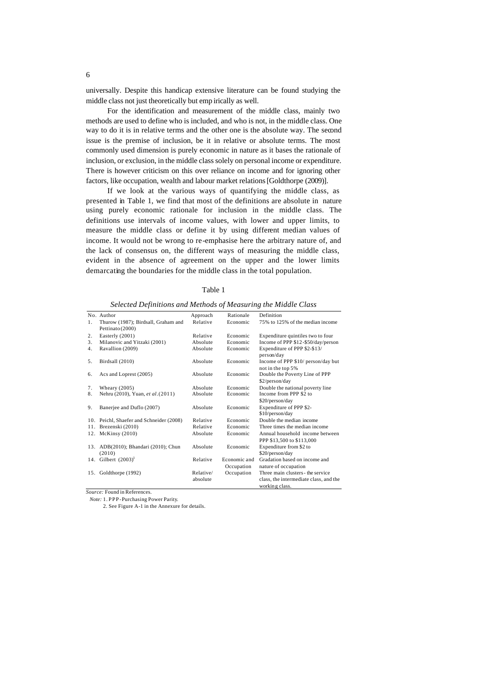universally. Despite this handicap extensive literature can be found studying the middle class not just theoretically but emp irically as well.

For the identification and measurement of the middle class, mainly two methods are used to define who is included, and who is not, in the middle class. One way to do it is in relative terms and the other one is the absolute way. The second issue is the premise of inclusion, be it in relative or absolute terms. The most commonly used dimension is purely economic in nature as it bases the rationale of inclusion, or exclusion, in the middle class solely on personal income or expenditure. There is however criticism on this over reliance on income and for ignoring other factors, like occupation, wealth and labour market relations [Goldthorpe (2009)].

If we look at the various ways of quantifying the middle class, as presented in Table 1, we find that most of the definitions are absolute in nature using purely economic rationale for inclusion in the middle class. The definitions use intervals of income values, with lower and upper limits, to measure the middle class or define it by using different median values of income. It would not be wrong to re-emphasise here the arbitrary nature of, and the lack of consensus on, the different ways of measuring the middle class, evident in the absence of agreement on the upper and the lower limits demarcating the boundaries for the middle class in the total population.

| M.<br>v<br>۰, |  |
|---------------|--|
|---------------|--|

|    | No. Author                                              | Approach  | Rationale    | Definition                                                   |
|----|---------------------------------------------------------|-----------|--------------|--------------------------------------------------------------|
| 1. | Thurow (1987); Birdsall, Graham and<br>Pettinato (2000) | Relative  | Economic     | 75% to 125% of the median income                             |
| 2. | Easterly (2001)                                         | Relative  | Economic     | Expenditure quintiles two to four                            |
| 3. | Milanovic and Yitzaki (2001)                            | Absolute  | Economic     | Income of PPP \$12-\$50/day/person                           |
| 4. | Ravallion (2009)                                        | Absolute  | Economic     | Expenditure of PPP \$2-\$13/<br>person/day                   |
| 5. | Birdsall (2010)                                         | Absolute  | Economic     | Income of PPP \$10/ person/day but<br>not in the top 5%      |
| 6. | Acs and Loprest (2005)                                  | Absolute  | Economic     | Double the Poverty Line of PPP<br>\$2/person/day             |
| 7. | Wheary $(2005)$                                         | Absolute  | Economic     | Double the national poverty line                             |
| 8. | Nehru (2010), Yuan, et al. (2011)                       | Absolute  | Economic     | Income from PPP \$2 to<br>\$20/person/day                    |
| 9. | Banerjee and Duflo (2007)                               | Absolute  | Economic     | Expenditure of PPP \$2-<br>\$10/person/day                   |
|    | 10. Peichl, Shaefer and Schneider (2008)                | Relative  | Economic     | Double the median income                                     |
|    | 11. Brezenski (2010)                                    | Relative  | Economic     | Three times the median income                                |
|    | 12. McKinsy (2010)                                      | Absolute  | Economic     | Annual household income between<br>PPP \$13,500 to \$113,000 |
|    | 13. ADB(2010); Bhandari (2010); Chun<br>(2010)          | Absolute  | Economic     | Expenditure from \$2 to<br>\$20/person/day                   |
|    | 14. Gilbert $(2003)^1$                                  | Relative  | Economic and | Gradation based on income and                                |
|    |                                                         |           | Occupation   | nature of occupation                                         |
|    | 15. Goldthorpe (1992)                                   | Relative/ | Occupation   | Three main clusters - the service                            |
|    |                                                         | absolute  |              | class, the intermediate class, and the                       |
|    |                                                         |           |              | working class.                                               |

*Selected Definitions and Methods of Measuring the Middle Class*

*Source:* Found in References.

 *Note:* 1. PPP- Purchasing Power Parity.

2. See Figure A-1 in the Annexure for details.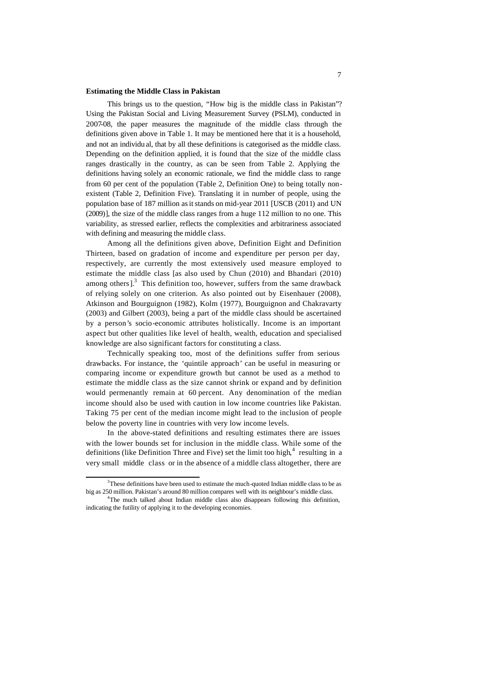#### **Estimating the Middle Class in Pakistan**

This brings us to the question, "How big is the middle class in Pakistan"? Using the Pakistan Social and Living Measurement Survey (PSLM), conducted in 2007-08, the paper measures the magnitude of the middle class through the definitions given above in Table 1. It may be mentioned here that it is a household, and not an individu al, that by all these definitions is categorised as the middle class. Depending on the definition applied, it is found that the size of the middle class ranges drastically in the country, as can be seen from Table 2. Applying the definitions having solely an economic rationale, we find the middle class to range from 60 per cent of the population (Table 2, Definition One) to being totally nonexistent (Table 2, Definition Five). Translating it in number of people, using the population base of 187 million as it stands on mid-year 2011 [USCB (2011) and UN (2009)], the size of the middle class ranges from a huge 112 million to no one. This variability, as stressed earlier, reflects the complexities and arbitrariness associated with defining and measuring the middle class.

Among all the definitions given above, Definition Eight and Definition Thirteen, based on gradation of income and expenditure per person per day, respectively, are currently the most extensively used measure employed to estimate the middle class [as also used by Chun (2010) and Bhandari (2010) among others]. $3$  This definition too, however, suffers from the same drawback of relying solely on one criterion. As also pointed out by Eisenhauer (2008), Atkinson and Bourguignon (1982), Kolm (1977), Bourguignon and Chakravarty (2003) and Gilbert (2003), being a part of the middle class should be ascertained by a person's socio-economic attributes holistically. Income is an important aspect but other qualities like level of health, wealth, education and specialised knowledge are also significant factors for constituting a class.

Technically speaking too, most of the definitions suffer from serious drawbacks. For instance, the 'quintile approach' can be useful in measuring or comparing income or expenditure growth but cannot be used as a method to estimate the middle class as the size cannot shrink or expand and by definition would permenantly remain at 60 percent. Any denomination of the median income should also be used with caution in low income countries like Pakistan. Taking 75 per cent of the median income might lead to the inclusion of people below the poverty line in countries with very low income levels.

In the above-stated definitions and resulting estimates there are issues with the lower bounds set for inclusion in the middle class. While some of the definitions (like Definition Three and Five) set the limit too high,  $4$  resulting in a very small middle class or in the absence of a middle class altogether, there are

j

<sup>&</sup>lt;sup>3</sup>These definitions have been used to estimate the much-quoted Indian middle class to be as big as 250 million. Pakistan's around 80 million compares well with its neighbour's middle class.

<sup>&</sup>lt;sup>4</sup>The much talked about Indian middle class also disappears following this definition, indicating the futility of applying it to the developing economies.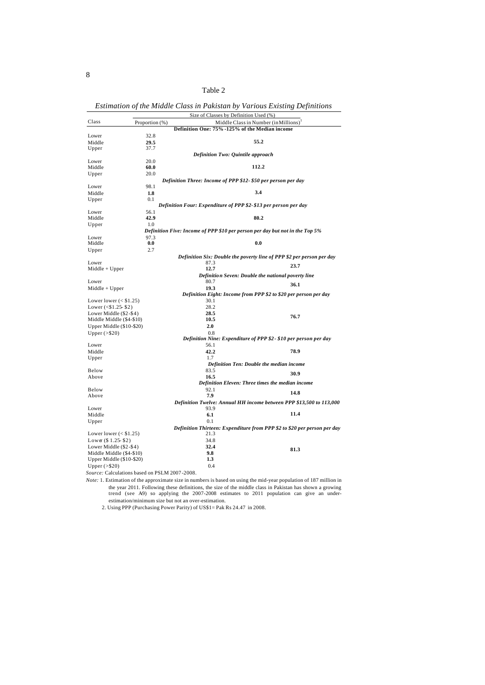| anie |  |
|------|--|
|------|--|

|                          |                | Size of Classes by Definition Used (%)                                       |                                                                          |
|--------------------------|----------------|------------------------------------------------------------------------------|--------------------------------------------------------------------------|
| Class                    | Proportion (%) |                                                                              | Middle Class in Number (in Millions) <sup>1</sup>                        |
|                          |                | Definition One: 75% -125% of the Median income                               |                                                                          |
| Lower                    | 32.8           |                                                                              |                                                                          |
| Middle                   | 29.5           |                                                                              | 55.2                                                                     |
| Upper                    | 37.7           |                                                                              |                                                                          |
|                          |                | <b>Definition Two: Quintile approach</b>                                     |                                                                          |
| Lower                    | 20.0           |                                                                              |                                                                          |
| Middle                   | 60.0           |                                                                              | 112.2                                                                    |
| Upper                    | 20.0           |                                                                              |                                                                          |
|                          |                | Definition Three: Income of PPP \$12- \$50 per person per day                |                                                                          |
| Lower                    | 98.1           |                                                                              |                                                                          |
| Middle                   | 1.8            |                                                                              | 3.4                                                                      |
| Upper                    | 0.1            |                                                                              |                                                                          |
|                          |                | Definition Four: Expenditure of PPP \$2-\$13 per person per day              |                                                                          |
| Lower                    | 56.1           |                                                                              |                                                                          |
| Middle                   | 42.9           |                                                                              | 80.2                                                                     |
| Upper                    | 1.0            |                                                                              |                                                                          |
|                          |                | Definition Five: Income of PPP \$10 per person per day but not in the Top 5% |                                                                          |
| Lower                    | 97.3           |                                                                              | 0.0                                                                      |
| Middle                   | 0.0            |                                                                              |                                                                          |
| Upper                    | 2.7            |                                                                              |                                                                          |
|                          |                | 87.3                                                                         | Definition Six: Double the poverty line of PPP \$2 per person per day    |
| Lower<br>$Midde + Upper$ |                | 12.7                                                                         | 23.7                                                                     |
|                          |                | Definition Seven: Double the national poverty line                           |                                                                          |
| Lower                    |                | 80.7                                                                         |                                                                          |
| $Middle + Upper$         |                | 19.3                                                                         | 36.1                                                                     |
|                          |                | Definition Eight: Income from PPP \$2 to \$20 per person per day             |                                                                          |
| Lower lower $($1.25)$    |                | 30.1                                                                         |                                                                          |
| Lower $($1.25$-$2)$      |                | 28.2                                                                         |                                                                          |
| Lower Middle (\$2-\$4)   |                | 28.5                                                                         |                                                                          |
| Middle Middle (\$4-\$10) |                | 10.5                                                                         | 76.7                                                                     |
| Upper Middle (\$10-\$20) |                | 2.0                                                                          |                                                                          |
| Upper $(>\$20)$          |                | 0.8                                                                          |                                                                          |
|                          |                |                                                                              | Definition Nine: Expenditure of PPP \$2 - \$10 per person per day        |
| Lower                    |                | 56.1                                                                         |                                                                          |
| Middle                   |                | 42.2                                                                         | 78.9                                                                     |
| Upper                    |                | 1.7                                                                          |                                                                          |
|                          |                | Definition Ten: Double the median income                                     |                                                                          |
| Below                    |                | 83.5                                                                         |                                                                          |
| Above                    |                | 16.5                                                                         | 30.9                                                                     |
|                          |                | Definition Eleven: Three times the median income                             |                                                                          |
| Below                    |                | 92.1                                                                         | 14.8                                                                     |
| Above                    |                | 7.9                                                                          |                                                                          |
|                          |                |                                                                              | Definition Twelve: Annual HH income between PPP \$13,500 to 113,000      |
| Lower                    |                | 93.9                                                                         |                                                                          |
| Middle                   |                | 6.1                                                                          | 11.4                                                                     |
| Upper                    |                | 0.1                                                                          |                                                                          |
|                          |                |                                                                              | Definition Thirteen: Expenditure from PPP \$2 to \$20 per person per day |
| Lower lower $($1.25)$    |                | 21.3                                                                         |                                                                          |
| Lower $(\$ 1.25-S2)$     |                | 34.8                                                                         |                                                                          |
| Lower Middle (\$2-\$4)   |                | 32.4                                                                         | 81.3                                                                     |
| Middle Middle (\$4-\$10) |                | 9.8                                                                          |                                                                          |
| Upper Middle (\$10-\$20) |                | 1.3                                                                          |                                                                          |
| Upper $(>\$20)$          |                | 0.4                                                                          |                                                                          |

|  | Estimation of the Middle Class in Pakistan by Various Existing Definitions |
|--|----------------------------------------------------------------------------|
|  |                                                                            |

*Source:* Calculations based on PSLM 2007 -2008.

*Note:* 1. Estimation of the approximate size in numbers is based on using the mid-year population of 187 million in the year 2011. Following these definitions, the size of the middle class in Pakistan has shown a growing trend (see A9) so applying the 2007-2008 estimates to 2011 population can give an underestimation/minimum size but not an over-estimation.

2. Using PPP (Purchasing Power Parity) of US\$1= Pak Rs 24.47 in 2008.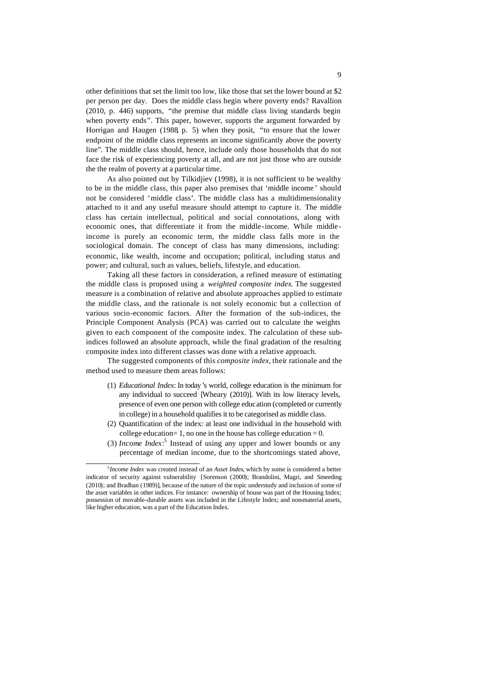other definitions that set the limit too low, like those that set the lower bound at \$2 per person per day. Does the middle class begin where poverty ends? Ravallion (2010, p. 446) supports, "the premise that middle class living standards begin when poverty ends". This paper, however, supports the argument forwarded by Horrigan and Haugen (1988, p. 5) when they posit, "to ensure that the lower endpoint of the middle class represents an income significantly above the poverty line". The middle class should, hence, include only those households that do not face the risk of experiencing poverty at all, and are not just those who are outside the the realm of poverty at a particular time.

As also pointed out by Tilkidjiev (1998), it is not sufficient to be wealthy to be in the middle class, this paper also premises that 'middle income ' should not be considered 'middle class'. The middle class has a multidimensionality attached to it and any useful measure should attempt to capture it. The middle class has certain intellectual, political and social connotations, along with economic ones, that differentiate it from the middle-income. While middleincome is purely an economic term, the middle class falls more in the sociological domain. The concept of class has many dimensions, including: economic, like wealth, income and occupation; political, including status and power; and cultural, such as values, beliefs, lifestyle, and education.

Taking all these factors in consideration, a refined measure of estimating the middle class is proposed using a *weighted composite index*. The suggested measure is a combination of relative and absolute approaches applied to estimate the middle class, and the rationale is not solely economic but a collection of various socio-economic factors. After the formation of the sub-indices, the Principle Component Analysis (PCA) was carried out to calculate the weights given to each component of the composite index. The calculation of these subindices followed an absolute approach, while the final gradation of the resulting composite index into different classes was done with a relative approach.

The suggested components of this *composite index*, their rationale and the method used to measure them areas follows:

- (1) *Educational Index*: In today's world, college education is the minimum for any individual to succeed [Wheary (2010)]. With its low literacy levels, presence of even one person with college education (completed or currently in college) in a household qualifies it to be categorised as middle class.
- (2) Quantification of the index: at least one individual in the household with college education= 1, no one in the house has college education =  $0$ .
- (3) *Income Index*: 5 Instead of using any upper and lower bounds or any percentage of median income, due to the shortcomings stated above,

j

<sup>5</sup> *Income Index* was created instead of an *Asset Index*, which by some is considered a better indicator of security against vulnerability [Sorenson (2000); Brandolini, Magri, and Smeeding (2010); and Bradhan (1989)], because of the nature of the topic understudy and inclusion of some of the asset variables in other indices. For instance: ownership of house was part of the Housing Index; possession of movable-durable assets was included in the Lifestyle Index; and non-material assets, like higher education, was a part of the Education Index.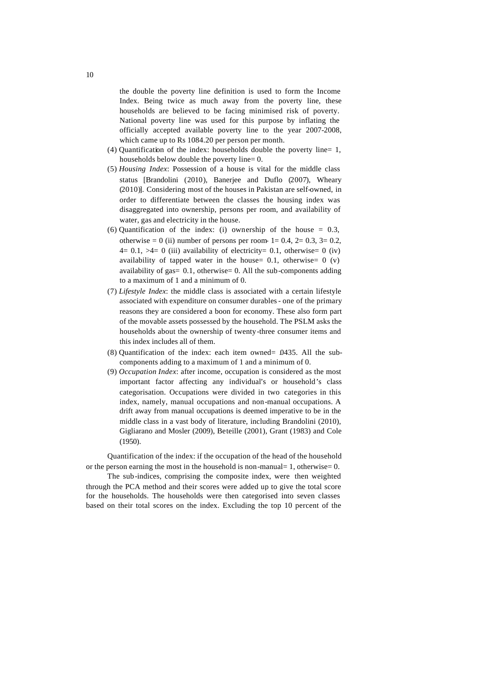the double the poverty line definition is used to form the Income Index. Being twice as much away from the poverty line, these households are believed to be facing minimised risk of poverty. National poverty line was used for this purpose by inflating the officially accepted available poverty line to the year 2007-2008, which came up to Rs 1084.20 per person per month.

- (4) Quantification of the index: households double the poverty line= 1, households below double the poverty line= 0.
- (5) *Housing Index*: Possession of a house is vital for the middle class status [Brandolini (2010), Banerjee and Duflo (2007), Wheary (2010)]. Considering most of the houses in Pakistan are self-owned, in order to differentiate between the classes the housing index was disaggregated into ownership, persons per room, and availability of water, gas and electricity in the house.
- (6) Quantification of the index: (i) ownership of the house  $= 0.3$ , otherwise = 0 (ii) number of persons per room-  $1= 0.4$ ,  $2= 0.3$ ,  $3= 0.2$ ,  $4= 0.1$ ,  $>4= 0$  (iii) availability of electricity = 0.1, otherwise = 0 (iv) availability of tapped water in the house=  $0.1$ , otherwise=  $0$  (v) availability of gas=  $0.1$ , otherwise= 0. All the sub-components adding to a maximum of 1 and a minimum of 0.
- (7) *Lifestyle Index*: the middle class is associated with a certain lifestyle associated with expenditure on consumer durables- one of the primary reasons they are considered a boon for economy. These also form part of the movable assets possessed by the household. The PSLM asks the households about the ownership of twenty-three consumer items and this index includes all of them.
- (8) Quantification of the index: each item owned=  $.0435$ . All the subcomponents adding to a maximum of 1 and a minimum of 0.
- (9) *Occupation Index*: after income, occupation is considered as the most important factor affecting any individual's or household's class categorisation. Occupations were divided in two categories in this index, namely, manual occupations and non-manual occupations. A drift away from manual occupations is deemed imperative to be in the middle class in a vast body of literature, including Brandolini (2010), Gigliarano and Mosler (2009), Beteille (2001), Grant (1983) and Cole (1950).

Quantification of the index: if the occupation of the head of the household or the person earning the most in the household is non-manual= 1, otherwise=  $0$ .

The sub-indices, comprising the composite index, were then weighted through the PCA method and their scores were added up to give the total score for the households. The households were then categorised into seven classes based on their total scores on the index. Excluding the top 10 percent of the

10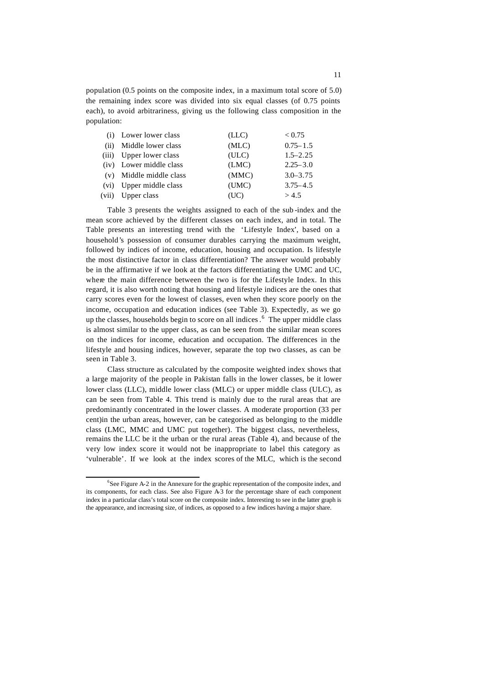population (0.5 points on the composite index, in a maximum total score of 5.0) the remaining index score was divided into six equal classes (of 0.75 points each), to avoid arbitrariness, giving us the following class composition in the population:

|       | (i) Lower lower class   | (LLC) | < 0.75       |
|-------|-------------------------|-------|--------------|
| (ii)  | Middle lower class      | (MLC) | $0.75 - 1.5$ |
| (iii) | Upper lower class       | (ULC) | $1.5 - 2.25$ |
|       | (iv) Lower middle class | (LMC) | $2.25 - 3.0$ |
|       | (v) Middle middle class | (MMC) | $3.0 - 3.75$ |
| (vi)  | Upper middle class      | (UMC) | $3.75 - 4.5$ |
| (vii) | Upper class             | (UC)  | > 4.5        |
|       |                         |       |              |

Table 3 presents the weights assigned to each of the sub -index and the mean score achieved by the different classes on each index, and in total. The Table presents an interesting trend with the 'Lifestyle Index', based on a household's possession of consumer durables carrying the maximum weight, followed by indices of income, education, housing and occupation. Is lifestyle the most distinctive factor in class differentiation? The answer would probably be in the affirmative if we look at the factors differentiating the UMC and UC, where the main difference between the two is for the Lifestyle Index. In this regard, it is also worth noting that housing and lifestyle indices are the ones that carry scores even for the lowest of classes, even when they score poorly on the income, occupation and education indices (see Table 3). Expectedly, as we go up the classes, households begin to score on all indices. <sup>6</sup> The upper middle class is almost similar to the upper class, as can be seen from the similar mean scores on the indices for income, education and occupation. The differences in the lifestyle and housing indices, however, separate the top two classes, as can be seen in Table 3.

Class structure as calculated by the composite weighted index shows that a large majority of the people in Pakistan falls in the lower classes, be it lower lower class (LLC), middle lower class (MLC) or upper middle class (ULC), as can be seen from Table 4. This trend is mainly due to the rural areas that are predominantly concentrated in the lower classes. A moderate proportion (33 per cent)in the urban areas, however, can be categorised as belonging to the middle class (LMC, MMC and UMC put together). The biggest class, nevertheless, remains the LLC be it the urban or the rural areas (Table 4), and because of the very low index score it would not be inappropriate to label this category as 'vulnerable'. If we look at the index scores of the MLC, which is the second

j

<sup>&</sup>lt;sup>6</sup>See Figure A-2 in the Annexure for the graphic representation of the composite index, and its components, for each class. See also Figure A-3 for the percentage share of each component index in a particular class's total score on the composite index. Interesting to see in the latter graph is the appearance, and increasing size, of indices, as opposed to a few indices having a major share.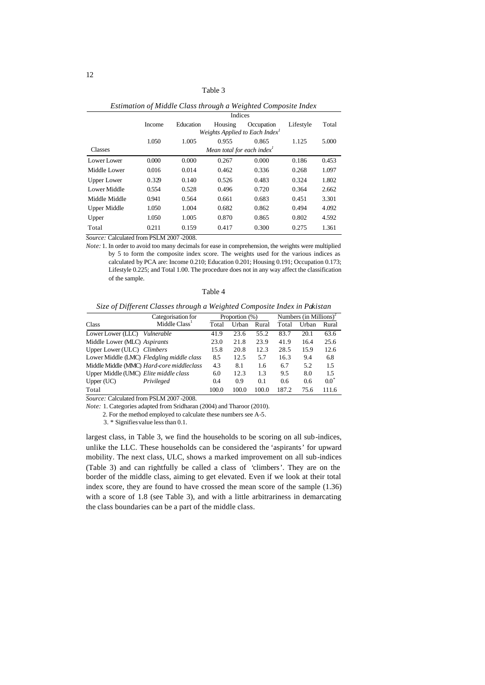| abie |  |
|------|--|
|------|--|

| Limanon of maane Class inforzh a-weizhied Composite maex |        |           |                                        |                                            |           |       |
|----------------------------------------------------------|--------|-----------|----------------------------------------|--------------------------------------------|-----------|-------|
|                                                          |        | Indices   |                                        |                                            |           |       |
|                                                          | Income | Education | Housing                                | Occupation                                 | Lifestyle | Total |
|                                                          |        |           |                                        | Weights Applied to Each Index <sup>1</sup> |           |       |
|                                                          | 1.050  | 1.005     | 0.955                                  | 0.865                                      | 1.125     | 5.000 |
| Classes                                                  |        |           | Mean total for each index <sup>1</sup> |                                            |           |       |
| Lower Lower                                              | 0.000  | 0.000     | 0.267                                  | 0.000                                      | 0.186     | 0.453 |
| Middle Lower                                             | 0.016  | 0.014     | 0.462                                  | 0.336                                      | 0.268     | 1.097 |
| <b>Upper Lower</b>                                       | 0.329  | 0.140     | 0.526                                  | 0.483                                      | 0.324     | 1.802 |
| Lower Middle                                             | 0.554  | 0.528     | 0.496                                  | 0.720                                      | 0.364     | 2.662 |
| Middle Middle                                            | 0.941  | 0.564     | 0.661                                  | 0.683                                      | 0.451     | 3.301 |
| <b>Upper Middle</b>                                      | 1.050  | 1.004     | 0.682                                  | 0.862                                      | 0.494     | 4.092 |
| Upper                                                    | 1.050  | 1.005     | 0.870                                  | 0.865                                      | 0.802     | 4.592 |
| Total                                                    | 0.211  | 0.159     | 0.417                                  | 0.300                                      | 0.275     | 1.361 |

| Estimation of Middle Class through a Weighted Composite Index |  |  |  |
|---------------------------------------------------------------|--|--|--|
|                                                               |  |  |  |

*Source:* Calculated from PSLM 2007 -2008.

*Note:* 1. In order to avoid too many decimals for ease in comprehension, the weights were multiplied by 5 to form the composite index score. The weights used for the various indices as calculated by PCA are: Income 0.210; Education 0.201; Housing 0.191; Occupation 0.173; Lifestyle 0.225; and Total 1.00. The procedure does not in any way affect the classification of the sample.

Table 4

| Size of Different Classes through a Weighted Composite Index in Pakistan |  |  |  |
|--------------------------------------------------------------------------|--|--|--|
|                                                                          |  |  |  |

|                                       | Categorisation for                        | Proportion (%) |       |       | Numbers (in Millions) <sup>2</sup> |       |                 |
|---------------------------------------|-------------------------------------------|----------------|-------|-------|------------------------------------|-------|-----------------|
| Class                                 | Middle Class <sup>1</sup>                 | Total          | Urban | Rural | Total                              | Urban | Rural           |
| Lower Lower (LLC)                     | Vulnerable                                | 41.9           | 23.6  | 55.2  | 83.7                               | 20.1  | 63.6            |
| Middle Lower (MLC) Aspirants          |                                           | 23.0           | 21.8  | 23.9  | 41.9                               | 16.4  | 25.6            |
| Upper Lower (ULC) Climbers            |                                           | 15.8           | 20.8  | 12.3  | 28.5                               | 15.9  | 12.6            |
|                                       | Lower Middle (LMC) Fledgling middle class | 8.5            | 12.5  | 5.7   | 16.3                               | 9.4   | 6.8             |
|                                       | Middle Middle (MMC) Hard-core middleclass | 4.3            | 8.1   | 1.6   | 6.7                                | 5.2   | 1.5             |
| Upper Middle (UMC) Elite middle class |                                           | 6.0            | 12.3  | 1.3   | 9.5                                | 8.0   | 1.5             |
| Upper $(UC)$                          | Privileged                                | 0.4            | 0.9   | 0.1   | 0.6                                | 0.6   | $0.0^{\degree}$ |
| Total                                 |                                           | 100.0          | 100.0 | 100.0 | 187.2                              | 75.6  | 111.6           |

*Source:* Calculated from PSLM 2007 -2008.

*Note:* 1. Categories adapted from Sridharan (2004) and Tharoor (2010).

2. For the method employed to calculate these numbers see A-5.

3. \* Signifies value less than 0.1.

largest class, in Table 3, we find the households to be scoring on all sub-indices, unlike the LLC. These households can be considered the 'aspirants' for upward mobility. The next class, ULC, shows a marked improvement on all sub-indices (Table 3) and can rightfully be called a class of 'climbers'. They are on the border of the middle class, aiming to get elevated. Even if we look at their total index score, they are found to have crossed the mean score of the sample (1.36) with a score of 1.8 (see Table 3), and with a little arbitrariness in demarcating the class boundaries can be a part of the middle class.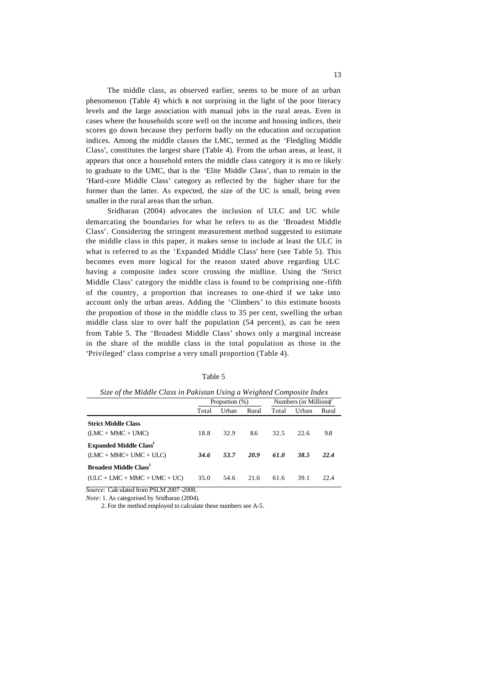The middle class, as observed earlier, seems to be more of an urban phenomenon (Table 4) which is not surprising in the light of the poor literacy levels and the large association with manual jobs in the rural areas. Even in cases where the households score well on the income and housing indices, their scores go down because they perform badly on the education and occupation indices. Among the middle classes the LMC, termed as the 'Fledgling Middle Class', constitutes the largest share (Table 4). From the urban areas, at least, it appears that once a household enters the middle class category it is mo re likely to graduate to the UMC, that is the 'Elite Middle Class', than to remain in the 'Hard-core Middle Class' category as reflected by the higher share for the former than the latter. As expected, the size of the UC is small, being even smaller in the rural areas than the urban.

Sridharan (2004) advocates the inclusion of ULC and UC while demarcating the boundaries for what he refers to as the 'Broadest Middle Class'. Considering the stringent measurement method suggested to estimate the middle class in this paper, it makes sense to include at least the ULC in what is referred to as the 'Expanded Middle Class' here (see Table 5). This becomes even more logical for the reason stated above regarding ULC having a composite index score crossing the midline. Using the 'Strict Middle Class' category the middle class is found to be comprising one -fifth of the country, a proportion that increases to one-third if we take into account only the urban areas. Adding the 'Climbers' to this estimate boosts the proportion of those in the middle class to 35 per cent, swelling the urban middle class size to over half the population (54 percent), as can be seen from Table 5. The 'Broadest Middle Class' shows only a marginal increase in the share of the middle class in the total population as those in the 'Privileged' class comprise a very small proportion (Table 4).

| ۰<br>۰, |
|---------|
|---------|

| Size of the Middle Class in Pakistan Using a Weighted Composite Index |       |                |       |                                     |       |       |  |  |  |  |
|-----------------------------------------------------------------------|-------|----------------|-------|-------------------------------------|-------|-------|--|--|--|--|
|                                                                       |       | Proportion (%) |       | Numbers (in Millions) $\frac{3}{2}$ |       |       |  |  |  |  |
|                                                                       | Total | Urban          | Rural | Total                               | Urban | Rural |  |  |  |  |
| <b>Strict Middle Class</b>                                            |       |                |       |                                     |       |       |  |  |  |  |
| $(LMC + MMC + UMC)$                                                   | 18.8  | 32.9           | 8.6   | 32.5                                | 22.6  | 9.8   |  |  |  |  |
| <b>Expanded Middle Class</b>                                          |       |                |       |                                     |       |       |  |  |  |  |
| $(LMC + MMC + UMC + ULC)$                                             | 34.6  | 53.7           | 20.9  | 61.0                                | 38.5  | 22.4  |  |  |  |  |
| <b>Broadest Middle Class<sup>1</sup></b>                              |       |                |       |                                     |       |       |  |  |  |  |
| $(ULC + LMC + MMC + UMC + UC)$                                        | 35.0  | 54.6           | 21.0  | 61.6                                | 39.1  | 22.4  |  |  |  |  |

*Source:* Calculated from PSLM 2007 -2008.

*Note:* 1. As categorised by Sridharan (2004).

2. For the method employed to calculate these numbers see A-5.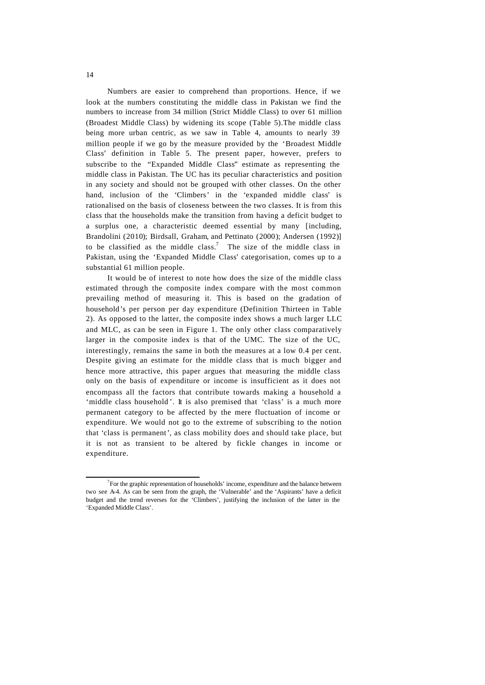Numbers are easier to comprehend than proportions. Hence, if we look at the numbers constituting the middle class in Pakistan we find the numbers to increase from 34 million (Strict Middle Class) to over 61 million (Broadest Middle Class) by widening its scope (Table 5).The middle class being more urban centric, as we saw in Table 4, amounts to nearly 39 million people if we go by the measure provided by the 'Broadest Middle Class' definition in Table 5. The present paper, however, prefers to subscribe to the "Expanded Middle Class" estimate as representing the middle class in Pakistan. The UC has its peculiar characteristics and position in any society and should not be grouped with other classes. On the other hand, inclusion of the 'Climbers' in the 'expanded middle class' is rationalised on the basis of closeness between the two classes. It is from this class that the households make the transition from having a deficit budget to a surplus one, a characteristic deemed essential by many [including, Brandolini (2010); Birdsall, Graham, and Pettinato (2000); Andersen (1992)] to be classified as the middle class.<sup>7</sup> The size of the middle class in Pakistan, using the 'Expanded Middle Class' categorisation, comes up to a substantial 61 million people.

It would be of interest to note how does the size of the middle class estimated through the composite index compare with the most common prevailing method of measuring it. This is based on the gradation of household's per person per day expenditure (Definition Thirteen in Table 2). As opposed to the latter, the composite index shows a much larger LLC and MLC, as can be seen in Figure 1. The only other class comparatively larger in the composite index is that of the UMC. The size of the UC, interestingly, remains the same in both the measures at a low 0.4 per cent. Despite giving an estimate for the middle class that is much bigger and hence more attractive, this paper argues that measuring the middle class only on the basis of expenditure or income is insufficient as it does not encompass all the factors that contribute towards making a household a 'middle class household'. It is also premised that 'class' is a much more permanent category to be affected by the mere fluctuation of income or expenditure. We would not go to the extreme of subscribing to the notion that 'class is permanent', as class mobility does and should take place, but it is not as transient to be altered by fickle changes in income or expenditure.

j

 $7$  For the graphic representation of households' income, expenditure and the balance between two see A-4. As can be seen from the graph, the 'Vulnerable' and the 'Aspirants' have a deficit budget and the trend reverses for the 'Climbers', justifying the inclusion of the latter in the 'Expanded Middle Class'.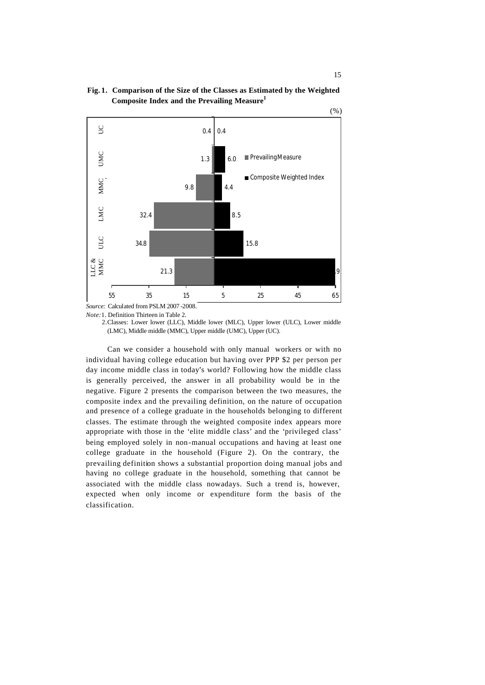



*Note:*1. Definition Thirteen in Table 2.

2.Classes: Lower lower (LLC), Middle lower (MLC), Upper lower (ULC), Lower middle (LMC), Middle middle (MMC), Upper middle (UMC), Upper (UC).

Can we consider a household with only manual workers or with no individual having college education but having over PPP \$2 per person per day income middle class in today's world? Following how the middle class is generally perceived, the answer in all probability would be in the negative. Figure 2 presents the comparison between the two measures, the composite index and the prevailing definition, on the nature of occupation and presence of a college graduate in the households belonging to different classes. The estimate through the weighted composite index appears more appropriate with those in the 'elite middle class' and the 'privileged class' being employed solely in non-manual occupations and having at least one college graduate in the household (Figure 2). On the contrary, the prevailing definition shows a substantial proportion doing manual jobs and having no college graduate in the household, something that cannot be associated with the middle class nowadays. Such a trend is, however, expected when only income or expenditure form the basis of the classification.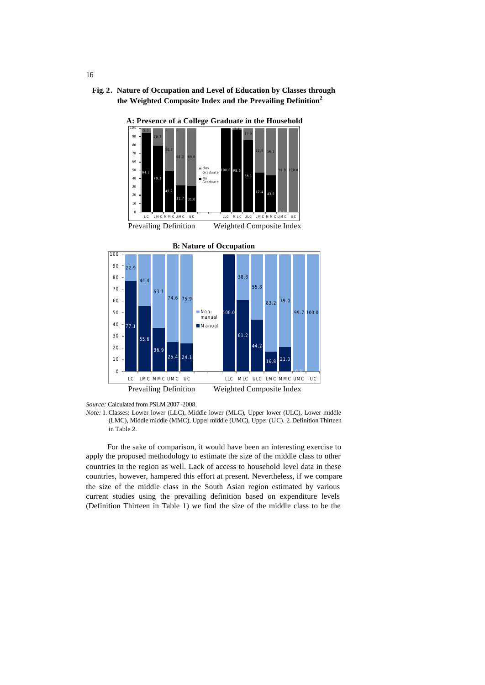**Fig. 2. Nature of Occupation and Level of Education by Classes through the Weighted Composite Index and the Prevailing Definition<sup>2</sup>**



**A: Presence of a College Graduate in the Household**

For the sake of comparison, it would have been an interesting exercise to apply the proposed methodology to estimate the size of the middle class to other countries in the region as well. Lack of access to household level data in these countries, however, hampered this effort at present. Nevertheless, if we compare the size of the middle class in the South Asian region estimated by various current studies using the prevailing definition based on expenditure levels (Definition Thirteen in Table 1) we find the size of the middle class to be the

16

*Source:* Calculated from PSLM 2007 -2008.

*Note:* 1.Classes: Lower lower (LLC), Middle lower (MLC), Upper lower (ULC), Lower middle (LMC), Middle middle (MMC), Upper middle (UMC), Upper (UC). 2. Definition Thirteen in Table 2.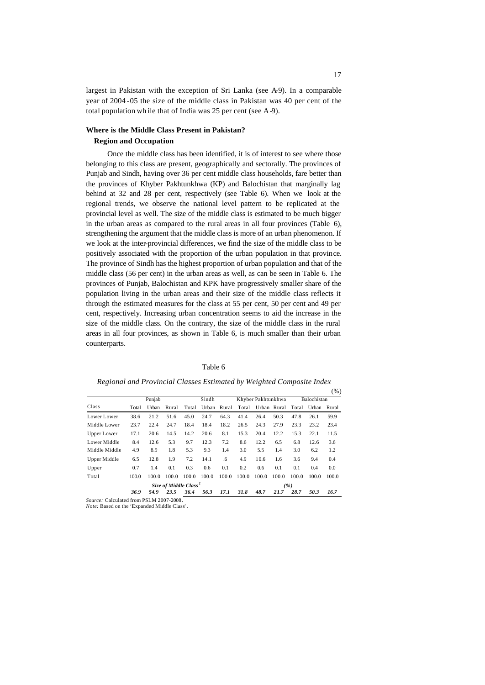largest in Pakistan with the exception of Sri Lanka (see A-9). In a comparable year of 2004 -05 the size of the middle class in Pakistan was 40 per cent of the total population wh ile that of India was 25 per cent (see A-9).

### **Where is the Middle Class Present in Pakistan? Region and Occupation**

Once the middle class has been identified, it is of interest to see where those belonging to this class are present, geographically and sectorally. The provinces of Punjab and Sindh, having over 36 per cent middle class households, fare better than the provinces of Khyber Pakhtunkhwa (KP) and Balochistan that marginally lag behind at 32 and 28 per cent, respectively (see Table 6). When we look at the regional trends, we observe the national level pattern to be replicated at the provincial level as well. The size of the middle class is estimated to be much bigger in the urban areas as compared to the rural areas in all four provinces (Table 6), strengthening the argument that the middle class is more of an urban phenomenon. If we look at the inter-provincial differences, we find the size of the middle class to be positively associated with the proportion of the urban population in that province. The province of Sindh has the highest proportion of urban population and that of the middle class (56 per cent) in the urban areas as well, as can be seen in Table 6. The provinces of Punjab, Balochistan and KPK have progressively smaller share of the population living in the urban areas and their size of the middle class reflects it through the estimated measures for the class at 55 per cent, 50 per cent and 49 per cent, respectively. Increasing urban concentration seems to aid the increase in the size of the middle class. On the contrary, the size of the middle class in the rural areas in all four provinces, as shown in Table 6, is much smaller than their urban counterparts.

Table 6

| Urban<br>Rural<br>21.2<br>51.6<br>24.7<br>22.4<br>14.5<br>20.6<br>5.3<br>12.6 | Total<br>45.0<br>18.4<br>14.2<br>9.7 | Urban<br>24.7<br>18.4<br>20.6<br>12.3 | Rural<br>64.3<br>18.2<br>8.1<br>7.2 | Total<br>41.4<br>26.5<br>15.3 | 26.4<br>24.3<br>20.4 | Urban Rural<br>50.3<br>27.9<br>12.2 | Total<br>47.8<br>23.3<br>15.3           | Urban<br>26.1<br>23.2<br>22.1 | Rural<br>59.9<br>23.4<br>11.5 |
|-------------------------------------------------------------------------------|--------------------------------------|---------------------------------------|-------------------------------------|-------------------------------|----------------------|-------------------------------------|-----------------------------------------|-------------------------------|-------------------------------|
|                                                                               |                                      |                                       |                                     |                               |                      |                                     |                                         |                               |                               |
|                                                                               |                                      |                                       |                                     |                               |                      |                                     |                                         |                               |                               |
|                                                                               |                                      |                                       |                                     |                               |                      |                                     |                                         |                               |                               |
|                                                                               |                                      |                                       |                                     |                               |                      |                                     |                                         |                               |                               |
|                                                                               |                                      |                                       |                                     | 8.6                           | 12.2                 | 6.5                                 | 6.8                                     | 12.6                          | 3.6                           |
| 8.9<br>1.8                                                                    | 5.3                                  | 9.3                                   | 1.4                                 | 3.0                           | 5.5                  | 1.4                                 | 3.0                                     | 6.2                           | 1.2                           |
| 12.8<br>1.9                                                                   | 7.2                                  | 14.1                                  | .6                                  | 4.9                           | 10.6                 | 1.6                                 | 3.6                                     | 9.4                           | 0.4                           |
| 0.1<br>1.4                                                                    | 0.3                                  | 0.6                                   | 0.1                                 | 0.2                           | 0.6                  | 0.1                                 | 0.1                                     | 0.4                           | 0.0                           |
| 100.0                                                                         | 100.0                                | 100.0                                 | 100.0                               | 100.0                         | 100.0                | 100.0                               | 100.0                                   | 100.0                         | 100.0                         |
|                                                                               |                                      |                                       |                                     |                               |                      |                                     |                                         |                               |                               |
| 54.9<br>23.5                                                                  | 36.4                                 | 56.3                                  | 17.1                                | 31.8                          | 48.7                 | 21.7                                | 28.7                                    | 50.3                          | 16.7                          |
|                                                                               |                                      | 100.0                                 | Size of Middle Class <sup>1</sup>   |                               |                      |                                     | Source: Calculated from PSLM 2007-2008. | ( %)                          |                               |

*Regional and Provincial Classes Estimated by Weighted Composite Index*

*Note:* Based on the 'Expanded Middle Class'.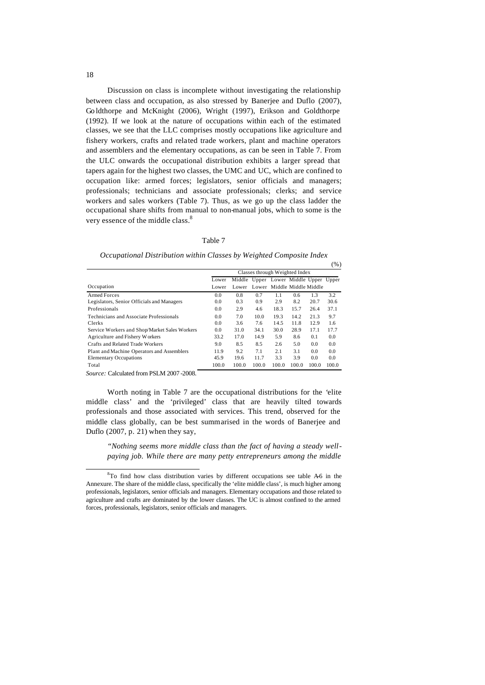Discussion on class is incomplete without investigating the relationship between class and occupation, as also stressed by Banerjee and Duflo (2007), Go ldthorpe and McKnight (2006), Wright (1997), Erikson and Goldthorpe (1992). If we look at the nature of occupations within each of the estimated classes, we see that the LLC comprises mostly occupations like agriculture and fishery workers, crafts and related trade workers, plant and machine operators and assemblers and the elementary occupations, as can be seen in Table 7. From the ULC onwards the occupational distribution exhibits a larger spread that tapers again for the highest two classes, the UMC and UC, which are confined to occupation like: armed forces; legislators, senior officials and managers; professionals; technicians and associate professionals; clerks; and service workers and sales workers (Table 7). Thus, as we go up the class ladder the occupational share shifts from manual to non-manual jobs, which to some is the very essence of the middle class.<sup>8</sup>

### Table 7

*Occupational Distribution within Classes by Weighted Composite Index* 

|                                               |       |       |                                       |       |                            |       | $(\%)$ |
|-----------------------------------------------|-------|-------|---------------------------------------|-------|----------------------------|-------|--------|
|                                               |       |       | Classes through Weighted Index        |       |                            |       |        |
|                                               | Lower |       | Middle Upper Lower Middle Upper Upper |       |                            |       |        |
| Occupation                                    | Lower | Lower |                                       |       | Lower Middle Middle Middle |       |        |
| Armed Forces                                  | 0.0   | 0.8   | 0.7                                   | 1.1   | 0.6                        | 1.3   | 3.2    |
| Legislators, Senior Officials and Managers    | 0.0   | 0.3   | 0.9                                   | 2.9   | 8.2                        | 20.7  | 30.6   |
| Professionals                                 | 0.0   | 2.9   | 4.6                                   | 18.3  | 15.7                       | 26.4  | 37.1   |
| Technicians and Associate Professionals       | 0.0   | 7.0   | 10.0                                  | 19.3  | 14.2                       | 21.3  | 9.7    |
| Clerks                                        | 0.0   | 3.6   | 7.6                                   | 14.5  | 11.8                       | 12.9  | 1.6    |
| Service Workers and Shop/Market Sales Workers | 0.0   | 31.0  | 34.1                                  | 30.0  | 28.9                       | 17.1  | 17.7   |
| Agriculture and Fishery Workers               | 33.2  | 17.0  | 14.9                                  | 5.9   | 8.6                        | 0.1   | 0.0    |
| Crafts and Related Trade Workers              | 9.0   | 8.5   | 8.5                                   | 2.6   | 5.0                        | 0.0   | 0.0    |
| Plant and Machine Operators and Assemblers    | 11.9  | 9.2   | 7.1                                   | 2.1   | 3.1                        | 0.0   | 0.0    |
| <b>Elementary Occupations</b>                 | 45.9  | 19.6  | 11.7                                  | 3.3   | 3.9                        | 0.0   | 0.0    |
| Total                                         | 100.0 | 100.0 | 100.0                                 | 100.0 | 100.0                      | 100.0 | 100.0  |

*Source:* Calculated from PSLM 2007 -2008.

l

Worth noting in Table 7 are the occupational distributions for the 'elite middle class' and the 'privileged' class that are heavily tilted towards professionals and those associated with services. This trend, observed for the middle class globally, can be best summarised in the words of Banerjee and Duflo (2007, p. 21) when they say,

*"Nothing seems more middle class than the fact of having a steady wellpaying job. While there are many petty entrepreneurs among the middle* 

<sup>&</sup>lt;sup>8</sup>To find how class distribution varies by different occupations see table A-6 in the Annexure. The share of the middle class, specifically the 'elite middle class', is much higher among professionals, legislators, senior officials and managers. Elementary occupations and those related to agriculture and crafts are dominated by the lower classes. The UC is almost confined to the armed forces, professionals, legislators, senior officials and managers.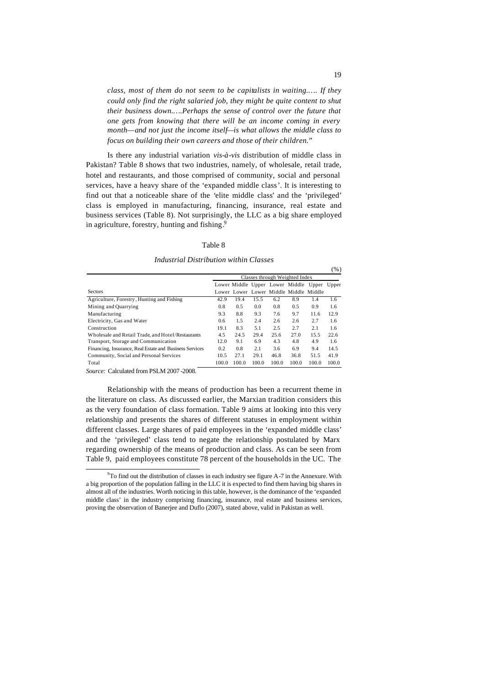*class, most of them do not seem to be capitalists in waiting.…. If they could only find the right salaried job, they might be quite content to shut their business down.….Perhaps the sense of control over the future that one gets from knowing that there will be an income coming in every month—and not just the income itself—is what allows the middle class to focus on building their own careers and those of their children."*

Is there any industrial variation *vis-à-vis* distribution of middle class in Pakistan? Table 8 shows that two industries, namely, of wholesale, retail trade, hotel and restaurants, and those comprised of community, social and personal services, have a heavy share of the 'expanded middle class'. It is interesting to find out that a noticeable share of the 'elite middle class' and the 'privileged' class is employed in manufacturing, financing, insurance, real estate and business services (Table 8). Not surprisingly, the LLC as a big share employed in agriculture, forestry, hunting and fishing.<sup>9</sup>

### Table 8

*Industrial Distribution within Classes*

|                                                         | Classes through Weighted Index |       |       |       |                                        |       |       |  |
|---------------------------------------------------------|--------------------------------|-------|-------|-------|----------------------------------------|-------|-------|--|
|                                                         |                                |       |       |       | Lower Middle Upper Lower Middle Upper  |       | Upper |  |
| <b>Sectors</b>                                          |                                |       |       |       | Lower Lower Lower Middle Middle Middle |       |       |  |
| Agriculture, Forestry, Hunting and Fishing              | 42.9                           | 19.4  | 15.5  | 6.2   | 8.9                                    | 1.4   | 1.6   |  |
| Mining and Quarrying                                    | 0.8                            | 0.5   | 0.0   | 0.8   | 0.5                                    | 0.9   | 1.6   |  |
| Manufacturing                                           | 9.3                            | 8.8   | 9.3   | 7.6   | 9.7                                    | 11.6  | 12.9  |  |
| Electricity, Gas and Water                              | 0.6                            | 1.5   | 2.4   | 2.6   | 2.6                                    | 2.7   | 1.6   |  |
| Construction                                            | 19.1                           | 8.3   | 5.1   | 2.5   | 2.7                                    | 2.1   | 1.6   |  |
| Wholesale and Retail Trade, and Hotel/Restaurants       | 4.5                            | 24.5  | 29.4  | 25.6  | 27.0                                   | 15.5  | 22.6  |  |
| Transport, Storage and Communication                    | 12.0                           | 9.1   | 6.9   | 4.3   | 4.8                                    | 4.9   | 1.6   |  |
| Financing, Insurance, Real Estate and Business Services | 0.2                            | 0.8   | 2.1   | 3.6   | 6.9                                    | 9.4   | 14.5  |  |
| Community, Social and Personal Services                 | 10.5                           | 27.1  | 29.1  | 46.8  | 36.8                                   | 51.5  | 41.9  |  |
| Total                                                   | 100.0                          | 100.0 | 100.0 | 100.0 | 100.0                                  | 100.0 | 100.0 |  |

*Source:* Calculated from PSLM 2007 -2008.

l

Relationship with the means of production has been a recurrent theme in the literature on class. As discussed earlier, the Marxian tradition considers this as the very foundation of class formation. Table 9 aims at looking into this very relationship and presents the shares of different statuses in employment within different classes. Large shares of paid employees in the 'expanded middle class' and the 'privileged' class tend to negate the relationship postulated by Marx regarding ownership of the means of production and class. As can be seen from Table 9, paid employees constitute 78 percent of the householdsin the UC. The

(%)

<sup>&</sup>lt;sup>9</sup>To find out the distribution of classes in each industry see figure A-7 in the Annexure. With a big proportion of the population falling in the LLC it is expected to find them having big shares in almost all of the industries. Worth noticing in this table, however, is the dominance of the 'expanded middle class' in the industry comprising financing, insurance, real estate and business services, proving the observation of Banerjee and Duflo (2007), stated above, valid in Pakistan as well.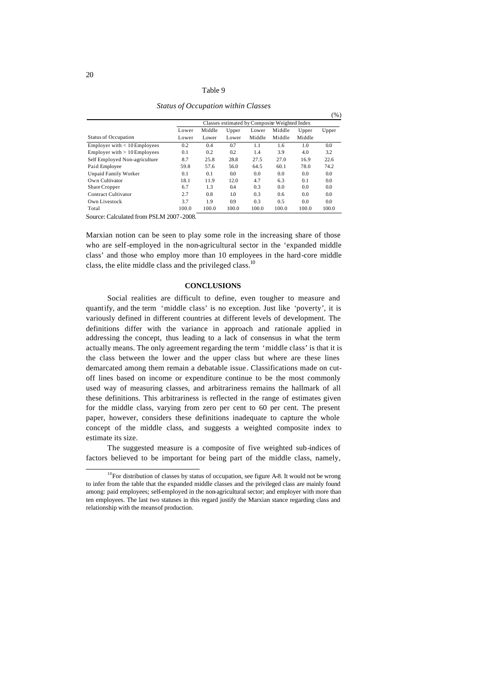#### Table 9

*Status of Occupation within Classes*

|                                |       |        |       |                                               |        |        | $( \% )$ |
|--------------------------------|-------|--------|-------|-----------------------------------------------|--------|--------|----------|
|                                |       |        |       | Classes estimated by Composite Weighted Index |        |        |          |
|                                | Lower | Middle | Upper | Lower                                         | Middle | Upper  | Upper    |
| <b>Status of Occupation</b>    | Lower | Lower  | Lower | Middle                                        | Middle | Middle |          |
| Employer with $< 10$ Employees | 0.2   | 0.4    | 0.7   | 1.1                                           | 1.6    | 1.0    | 0.0      |
| Employer with $> 10$ Employees | 0.1   | 0.2    | 0.2   | 1.4                                           | 3.9    | 4.0    | 3.2      |
| Self Employed Non-agriculture  | 8.7   | 25.8   | 28.8  | 27.5                                          | 27.0   | 16.9   | 22.6     |
| Paid Employee                  | 59.8  | 57.6   | 56.0  | 64.5                                          | 60.1   | 78.0   | 74.2     |
| <b>Unpaid Family Worker</b>    | 0.1   | 0.1    | 0.0   | 0.0                                           | 0.0    | 0.0    | 0.0      |
| Own Cultivator                 | 18.1  | 11.9   | 12.0  | 4.7                                           | 6.3    | 0.1    | 0.0      |
| Share Cropper                  | 6.7   | 1.3    | 0.4   | 0.3                                           | 0.0    | 0.0    | 0.0      |
| Contract Cultivator            | 2.7   | 0.8    | 1.0   | 0.3                                           | 0.6    | 0.0    | 0.0      |
| Own Livestock                  | 3.7   | 1.9    | 0.9   | 0.3                                           | 0.5    | 0.0    | 0.0      |
| Total                          | 100.0 | 100.0  | 100.0 | 100.0                                         | 100.0  | 100.0  | 100.0    |

Source: Calculated from PSLM 2007-2008.

Marxian notion can be seen to play some role in the increasing share of those who are self-employed in the non-agricultural sector in the 'expanded middle class' and those who employ more than 10 employees in the hard-core middle class, the elite middle class and the privileged class.<sup>10</sup>

#### **CONCLUSIONS**

Social realities are difficult to define, even tougher to measure and quantify, and the term 'middle class' is no exception. Just like 'poverty', it is variously defined in different countries at different levels of development. The definitions differ with the variance in approach and rationale applied in addressing the concept, thus leading to a lack of consensus in what the term actually means. The only agreement regarding the term 'middle class' is that it is the class between the lower and the upper class but where are these lines demarcated among them remain a debatable issue. Classifications made on cutoff lines based on income or expenditure continue to be the most commonly used way of measuring classes, and arbitrariness remains the hallmark of all these definitions. This arbitrariness is reflected in the range of estimates given for the middle class, varying from zero per cent to 60 per cent. The present paper, however, considers these definitions inadequate to capture the whole concept of the middle class, and suggests a weighted composite index to estimate its size.

The suggested measure is a composite of five weighted sub-indices of factors believed to be important for being part of the middle class, namely,

l

 $10$ For distribution of classes by status of occupation, see figure A-8. It would not be wrong to infer from the table that the expanded middle classes and the privileged class are mainly found among: paid employees; self-employed in the non-agricultural sector; and employer with more than ten employees. The last two statuses in this regard justify the Marxian stance regarding class and relationship with the means of production.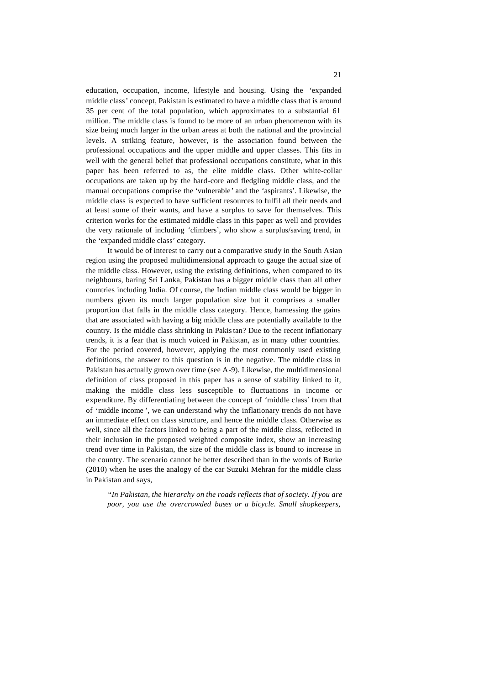education, occupation, income, lifestyle and housing. Using the 'expanded middle class' concept, Pakistan is estimated to have a middle class that is around 35 per cent of the total population, which approximates to a substantial 61 million. The middle class is found to be more of an urban phenomenon with its size being much larger in the urban areas at both the national and the provincial levels. A striking feature, however, is the association found between the professional occupations and the upper middle and upper classes. This fits in well with the general belief that professional occupations constitute, what in this paper has been referred to as, the elite middle class. Other white-collar occupations are taken up by the hard-core and fledgling middle class, and the manual occupations comprise the 'vulnerable' and the 'aspirants'. Likewise, the middle class is expected to have sufficient resources to fulfil all their needs and at least some of their wants, and have a surplus to save for themselves. This criterion works for the estimated middle class in this paper as well and provides the very rationale of including 'climbers', who show a surplus/saving trend, in the 'expanded middle class' category.

It would be of interest to carry out a comparative study in the South Asian region using the proposed multidimensional approach to gauge the actual size of the middle class. However, using the existing definitions, when compared to its neighbours, baring Sri Lanka, Pakistan has a bigger middle class than all other countries including India. Of course, the Indian middle class would be bigger in numbers given its much larger population size but it comprises a smaller proportion that falls in the middle class category. Hence, harnessing the gains that are associated with having a big middle class are potentially available to the country. Is the middle class shrinking in Pakistan? Due to the recent inflationary trends, it is a fear that is much voiced in Pakistan, as in many other countries. For the period covered, however, applying the most commonly used existing definitions, the answer to this question is in the negative. The middle class in Pakistan has actually grown over time (see A-9). Likewise, the multidimensional definition of class proposed in this paper has a sense of stability linked to it, making the middle class less susceptible to fluctuations in income or expenditure. By differentiating between the concept of 'middle class' from that of 'middle income ', we can understand why the inflationary trends do not have an immediate effect on class structure, and hence the middle class. Otherwise as well, since all the factors linked to being a part of the middle class, reflected in their inclusion in the proposed weighted composite index, show an increasing trend over time in Pakistan, the size of the middle class is bound to increase in the country. The scenario cannot be better described than in the words of Burke (2010) when he uses the analogy of the car Suzuki Mehran for the middle class in Pakistan and says,

*"In Pakistan, the hierarchy on the roads reflects that of society. If you are poor, you use the overcrowded buses or a bicycle. Small shopkeepers,*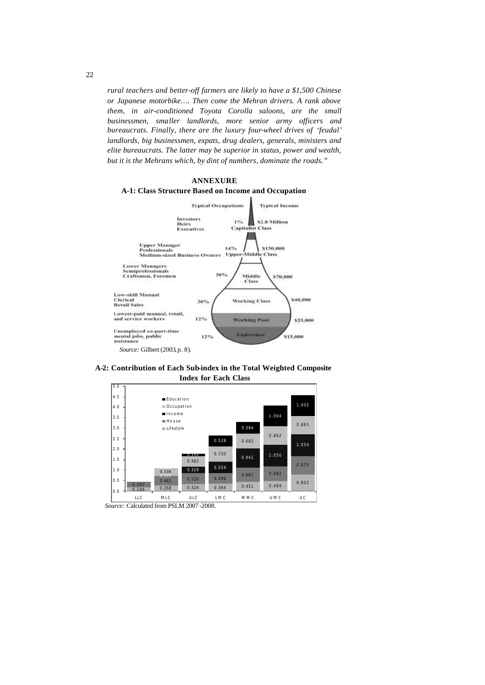*rural teachers and better-off farmers are likely to have a \$1,500 Chinese or Japanese motorbike…. Then come the Mehran drivers. A rank above them, in air-conditioned Toyota Corolla saloons, are the small businessmen, smaller landlords, more senior army officers and bureaucrats. Finally, there are the luxury four-wheel drives of 'feudal' landlords, big businessmen, expats, drug dealers, generals, ministers and elite bureaucrats. The latter may be superior in status, power and wealth, but it is the Mehrans which, by dint of numbers, dominate the roads."*



**A-2: Contribution of Each Sub-index in the Total Weighted Composite Index for Each Class**



 *Source:* Calculated from PSLM 2007 -2008.

22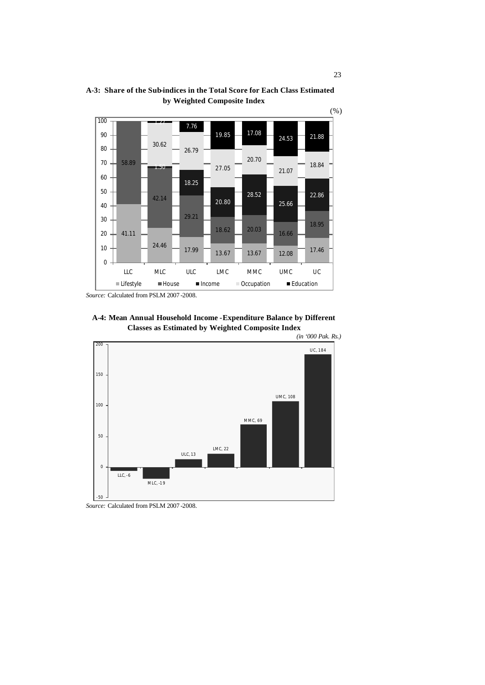

**A-3: Share of the Sub-indices in the Total Score for Each Class Estimated by Weighted Composite Index**

*Source:* Calculated from PSLM 2007 -2008.





*Source:* Calculated from PSLM 2007 -2008.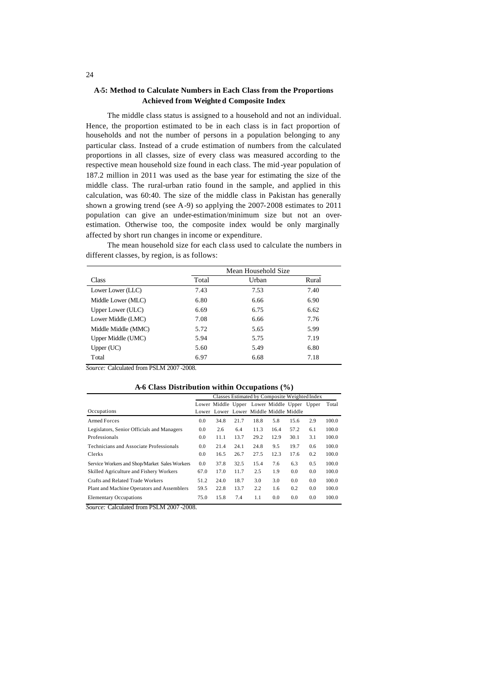### **A-5: Method to Calculate Numbers in Each Class from the Proportions Achieved from Weighte d Composite Index**

The middle class status is assigned to a household and not an individual. Hence, the proportion estimated to be in each class is in fact proportion of households and not the number of persons in a population belonging to any particular class. Instead of a crude estimation of numbers from the calculated proportions in all classes, size of every class was measured according to the respective mean household size found in each class. The mid -year population of 187.2 million in 2011 was used as the base year for estimating the size of the middle class. The rural-urban ratio found in the sample, and applied in this calculation, was 60:40. The size of the middle class in Pakistan has generally shown a growing trend (see A-9) so applying the 2007-2008 estimates to 2011 population can give an under-estimation/minimum size but not an overestimation. Otherwise too, the composite index would be only marginally affected by short run changes in income or expenditure.

|                     | Mean Household Size |       |       |  |  |  |  |  |
|---------------------|---------------------|-------|-------|--|--|--|--|--|
| Class               | Total               | Urban | Rural |  |  |  |  |  |
| Lower Lower (LLC)   | 7.43                | 7.53  | 7.40  |  |  |  |  |  |
| Middle Lower (MLC)  | 6.80                | 6.66  | 6.90  |  |  |  |  |  |
| Upper Lower (ULC)   | 6.69                | 6.75  | 6.62  |  |  |  |  |  |
| Lower Middle (LMC)  | 7.08                | 6.66  | 7.76  |  |  |  |  |  |
| Middle Middle (MMC) | 5.72                | 5.65  | 5.99  |  |  |  |  |  |
| Upper Middle (UMC)  | 5.94                | 5.75  | 7.19  |  |  |  |  |  |
| Upper $(UC)$        | 5.60                | 5.49  | 6.80  |  |  |  |  |  |
| Total               | 6.97                | 6.68  | 7.18  |  |  |  |  |  |

The mean household size for each class used to calculate the numbers in different classes, by region, is as follows:

*Source:* Calculated from PSLM 2007 -2008.

|  | A-6 Class Distribution within Occupations $(\% )$ |  |  |  |
|--|---------------------------------------------------|--|--|--|
|--|---------------------------------------------------|--|--|--|

|                                               | Classes Estimated by Composite Weighted Index |                                             |      |      |      |      |     |       |
|-----------------------------------------------|-----------------------------------------------|---------------------------------------------|------|------|------|------|-----|-------|
|                                               |                                               | Lower Middle Upper Lower Middle Upper Upper |      |      |      |      |     | Total |
| Occupations                                   |                                               | Lower Lower Lower Middle Middle Middle      |      |      |      |      |     |       |
| <b>Armed Forces</b>                           | 0.0                                           | 34.8                                        | 21.7 | 18.8 | 5.8  | 15.6 | 2.9 | 100.0 |
| Legislators, Senior Officials and Managers    | 0.0                                           | 2.6                                         | 6.4  | 11.3 | 16.4 | 57.2 | 6.1 | 100.0 |
| Professionals                                 | 0.0                                           | 11.1                                        | 13.7 | 29.2 | 12.9 | 30.1 | 3.1 | 100.0 |
| Technicians and Associate Professionals       | 0.0                                           | 21.4                                        | 24.1 | 24.8 | 9.5  | 19.7 | 0.6 | 100.0 |
| Clerks                                        | 0.0                                           | 16.5                                        | 26.7 | 27.5 | 12.3 | 17.6 | 0.2 | 100.0 |
| Service Workers and Shop/Market Sales Workers | 0.0                                           | 37.8                                        | 32.5 | 15.4 | 7.6  | 6.3  | 0.5 | 100.0 |
| Skilled Agriculture and Fishery Workers       | 67.0                                          | 17.0                                        | 11.7 | 2.5  | 1.9  | 0.0  | 0.0 | 100.0 |
| Crafts and Related Trade Workers              | 51.2                                          | 24.0                                        | 18.7 | 3.0  | 3.0  | 0.0  | 0.0 | 100.0 |
| Plant and Machine Operators and Assemblers    | 59.5                                          | 22.8                                        | 13.7 | 2.2  | 1.6  | 0.2  | 0.0 | 100.0 |
| <b>Elementary Occupations</b>                 | 75.0                                          | 15.8                                        | 7.4  | 1.1  | 0.0  | 0.0  | 0.0 | 100.0 |

*Source:* Calculated from PSLM 2007 -2008.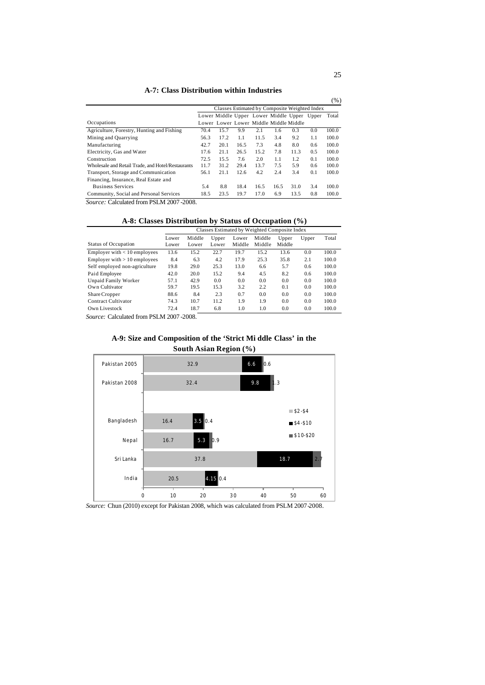## **A-7: Class Distribution within Industries**

|                                                   |      |                                               |      |      |      |      |     | $(\% )$ |
|---------------------------------------------------|------|-----------------------------------------------|------|------|------|------|-----|---------|
|                                                   |      | Classes Estimated by Composite Weighted Index |      |      |      |      |     |         |
|                                                   |      | Lower Middle Upper Lower Middle Upper Upper   |      |      |      |      |     | Total   |
| Occupations                                       |      | Lower Lower Lower Middle Middle Middle        |      |      |      |      |     |         |
| Agriculture, Forestry, Hunting and Fishing        | 70.4 | 15.7                                          | 9.9  | 2.1  | 1.6  | 0.3  | 0.0 | 100.0   |
| Mining and Quarrying                              | 56.3 | 17.2                                          | 1.1  | 11.5 | 3.4  | 9.2  | 1.1 | 100.0   |
| Manufacturing                                     | 42.7 | 20.1                                          | 16.5 | 7.3  | 4.8  | 8.0  | 0.6 | 100.0   |
| Electricity, Gas and Water                        | 17.6 | 21.1                                          | 26.5 | 15.2 | 7.8  | 11.3 | 0.5 | 100.0   |
| Construction                                      | 72.5 | 15.5                                          | 7.6  | 2.0  | 1.1  | 1.2  | 0.1 | 100.0   |
| Wholesale and Retail Trade, and Hotel/Restaurants | 11.7 | 31.2                                          | 29.4 | 13.7 | 7.5  | 5.9  | 0.6 | 100.0   |
| Transport, Storage and Communication              | 56.1 | 21.1                                          | 12.6 | 4.2  | 2.4  | 3.4  | 0.1 | 100.0   |
| Financing, Insurance, Real Estate and             |      |                                               |      |      |      |      |     |         |
| <b>Business Services</b>                          | 5.4  | 8.8                                           | 18.4 | 16.5 | 16.5 | 31.0 | 3.4 | 100.0   |
| Community, Social and Personal Services           | 18.5 | 23.5                                          | 19.7 | 17.0 | 6.9  | 13.5 | 0.8 | 100.0   |

*Source:* Calculated from PSLM 2007 -2008.

| A-8: Classes Distribution by Status of Occupation (%) |  |  |
|-------------------------------------------------------|--|--|
|-------------------------------------------------------|--|--|

|                                | Classes Estimated by Weighted Composite Index |                 |                |                 |                  |                 |       |       |
|--------------------------------|-----------------------------------------------|-----------------|----------------|-----------------|------------------|-----------------|-------|-------|
| <b>Status of Occupation</b>    | Lower<br>Lower                                | Middle<br>Lower | Upper<br>Lower | Lower<br>Middle | Middle<br>Middle | Upper<br>Middle | Upper | Total |
| Employer with $< 10$ employees | 13.6                                          | 15.2            | 22.7           | 19.7            | 15.2             | 13.6            | 0.0   | 100.0 |
| Employer with $> 10$ employees | 8.4                                           | 6.3             | 4.2            | 17.9            | 25.3             | 35.8            | 2.1   | 100.0 |
| Self employed non-agriculture  | 19.8                                          | 29.0            | 25.3           | 13.0            | 6.6              | 5.7             | 0.6   | 100.0 |
| Paid Employee                  | 42.0                                          | 20.0            | 15.2           | 9.4             | 4.5              | 8.2             | 0.6   | 100.0 |
| Unpaid Family Worker           | 57.1                                          | 42.9            | 0.0            | 0.0             | 0.0              | 0.0             | 0.0   | 100.0 |
| Own Cultivator                 | 59.7                                          | 19.5            | 15.3           | 3.2             | 2.2              | 0.1             | 0.0   | 100.0 |
| Share Cropper                  | 88.6                                          | 8.4             | 2.3            | 0.7             | 0.0              | 0.0             | 0.0   | 100.0 |
| Contract Cultivator            | 74.3                                          | 10.7            | 11.2           | 1.9             | 1.9              | 0.0             | 0.0   | 100.0 |
| Own Livestock                  | 72.4                                          | 18.7            | 6.8            | 1.0             | 1.0              | 0.0             | 0.0   | 100.0 |

*Source:* Calculated from PSLM 2007 -2008.





*Source:* Chun (2010) except for Pakistan 2008, which was calculated from PSLM 2007-2008.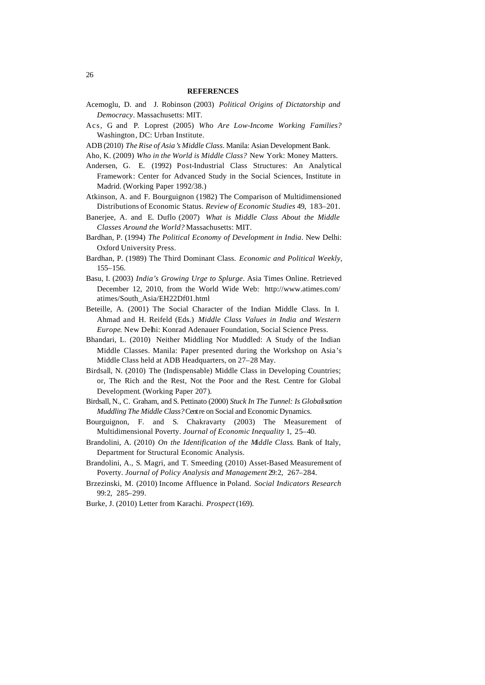#### **REFERENCES**

- Acemoglu, D. and J. Robinson (2003) *Political Origins of Dictatorship and Democracy*. Massachusetts: MIT.
- Acs, G. and P. Loprest (2005) *Who Are Low-Income Working Families?* Washington, DC: Urban Institute.
- ADB (2010) *The Rise of Asia's Middle Class*. Manila: Asian Development Bank.
- Aho, K. (2009) *Who in the World is Middle Class?* New York: Money Matters.
- Andersen, G. E. (1992) Post-Industrial Class Structures: An Analytical Framework: Center for Advanced Study in the Social Sciences, Institute in Madrid. (Working Paper 1992/38.)
- Atkinson, A. and F. Bourguignon (1982) The Comparison of Multidimensioned Distributions of Economic Status. *Review of Economic Studies* 49, 183–201.
- Banerjee, A. and E. Duflo (2007) *What is Middle Class About the Middle Classes Around the World?* Massachusetts: MIT.
- Bardhan, P. (1994) *The Political Economy of Development in India*. New Delhi: Oxford University Press.
- Bardhan, P. (1989) The Third Dominant Class. *Economic and Political Weekly*, 155–156.
- Basu, I. (2003) *India's Growing Urge to Splurge*. Asia Times Online. Retrieved December 12, 2010, from the World Wide Web: http://www.atimes.com/ atimes/South\_Asia/EH22Df01.html
- Beteille, A. (2001) The Social Character of the Indian Middle Class. In I. Ahmad and H. Reifeld (Eds.) *Middle Class Values in India and Western Europe*. New Delhi: Konrad Adenauer Foundation, Social Science Press.
- Bhandari, L. (2010) Neither Middling Nor Muddled: A Study of the Indian Middle Classes. Manila: Paper presented during the Workshop on Asia's Middle Class held at ADB Headquarters, on 27–28 May.
- Birdsall, N. (2010) The (Indispensable) Middle Class in Developing Countries; or, The Rich and the Rest, Not the Poor and the Rest. Centre for Global Development. (Working Paper 207).
- Birdsall, N., C. Graham, and S. Pettinato (2000) *Stuck In The Tunnel: Is Globalisation Muddling The Middle Class?* Centre on Social and Economic Dynamics.
- Bourguignon, F. and S. Chakravarty (2003) The Measurement of Multidimensional Poverty. *Journal of Economic Inequality* 1, 25–40.
- Brandolini, A. (2010) *On the Identification of the Middle Class*. Bank of Italy, Department for Structural Economic Analysis.
- Brandolini, A., S. Magri, and T. Smeeding (2010) Asset-Based Measurement of Poverty. *Journal of Policy Analysis and Management* 29:2, 267–284.
- Brzezinski, M. (2010) Income Affluence in Poland. *Social Indicators Research*  99:2, 285–299.
- Burke, J. (2010) Letter from Karachi. *Prospect* (169).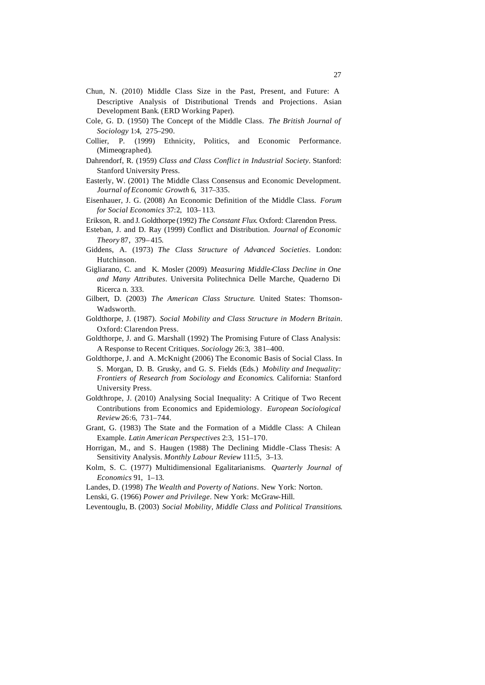- Chun, N. (2010) Middle Class Size in the Past, Present, and Future: A Descriptive Analysis of Distributional Trends and Projections. Asian Development Bank. (ERD Working Paper).
- Cole, G. D. (1950) The Concept of the Middle Class. *The British Journal of Sociology* 1:4, 275–290.
- Collier, P. (1999) Ethnicity, Politics, and Economic Performance. (Mimeographed).
- Dahrendorf, R. (1959) *Class and Class Conflict in Industrial Society*. Stanford: Stanford University Press.
- Easterly, W. (2001) The Middle Class Consensus and Economic Development. *Journal of Economic Growth* 6, 317–335.
- Eisenhauer, J. G. (2008) An Economic Definition of the Middle Class. *Forum for Social Economics* 37:2, 103– 113.
- Erikson, R. and J. Goldthorpe (1992) *The Constant Flux*. Oxford: Clarendon Press.
- Esteban, J. and D. Ray (1999) Conflict and Distribution. *Journal of Economic Theory* 87, 379– 415.
- Giddens, A. (1973) *The Class Structure of Advanced Societies*. London: Hutchinson.
- Gigliarano, C. and K. Mosler (2009) *Measuring Middle-Class Decline in One and Many Attributes*. Universita Politechnica Delle Marche, Quaderno Di Ricerca n. 333.
- Gilbert, D. (2003) *The American Class Structure*. United States: Thomson-Wadsworth.
- Goldthorpe, J. (1987). *Social Mobility and Class Structure in Modern Britain*. Oxford: Clarendon Press.
- Goldthorpe, J. and G. Marshall (1992) The Promising Future of Class Analysis: A Response to Recent Critiques. *Sociology* 26:3, 381–400.
- Goldthorpe, J. and A. McKnight (2006) The Economic Basis of Social Class. In S. Morgan, D. B. Grusky, and G. S. Fields (Eds.) *Mobility and Inequality: Frontiers of Research from Sociology and Economics*. California: Stanford University Press.
- Goldthrope, J. (2010) Analysing Social Inequality: A Critique of Two Recent Contributions from Economics and Epidemiology. *European Sociological Review* 26:6, 731–744.
- Grant, G. (1983) The State and the Formation of a Middle Class: A Chilean Example. *Latin American Perspectives* 2:3, 151–170.
- Horrigan, M., and S. Haugen (1988) The Declining Middle -Class Thesis: A Sensitivity Analysis. *Monthly Labour Review* 111:5, 3–13.
- Kolm, S. C. (1977) Multidimensional Egalitarianisms. *Quarterly Journal of Economics* 91, 1–13.
- Landes, D. (1998) *The Wealth and Poverty of Nations*. New York: Norton.
- Lenski, G. (1966) *Power and Privilege*. New York: McGraw-Hill.
- Leventouglu, B. (2003) *Social Mobility, Middle Class and Political Transitions*.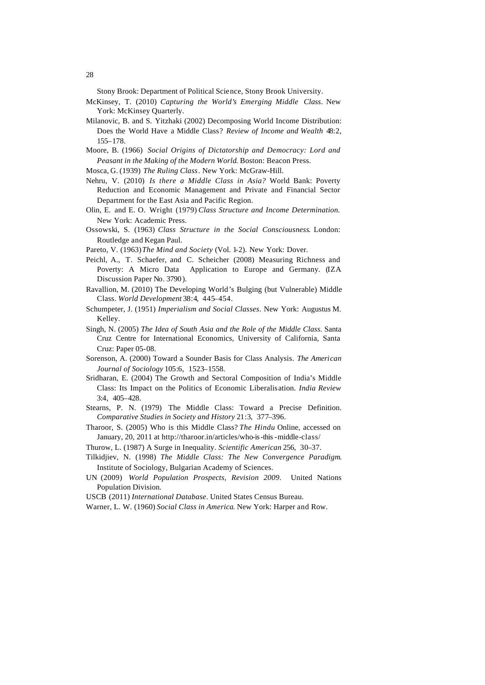Stony Brook: Department of Political Science, Stony Brook University.

- McKinsey, T. (2010) *Capturing the World's Emerging Middle Class*. New York: McKinsey Quarterly.
- Milanovic, B. and S. Yitzhaki (2002) Decomposing World Income Distribution: Does the World Have a Middle Class? *Review of Income and Wealth* 48:2, 155–178.
- Moore, B. (1966) *Social Origins of Dictatorship and Democracy: Lord and Peasant in the Making of the Modern World*. Boston: Beacon Press.
- Mosca, G. (1939) *The Ruling Class*. New York: McGraw-Hill.
- Nehru, V. (2010) *Is there a Middle Class in Asia?* World Bank: Poverty Reduction and Economic Management and Private and Financial Sector Department for the East Asia and Pacific Region.
- Olin, E. and E. O. Wright (1979) *Class Structure and Income Determination.*  New York: Academic Press.
- Ossowski, S. (1963) *Class Structure in the Social Consciousness*. London: Routledge and Kegan Paul.
- Pareto, V. (1963)*The Mind and Society* (Vol. 1-2). New York: Dover.
- Peichl, A., T. Schaefer, and C. Scheicher (2008) Measuring Richness and Poverty: A Micro Data Application to Europe and Germany*.* (IZA Discussion Paper No. 3790 ).
- Ravallion, M. (2010) The Developing World's Bulging (but Vulnerable) Middle Class. *World Development* 38:4, 445–454.
- Schumpeter, J. (1951) *Imperialism and Social Classes*. New York: Augustus M. Kelley.
- Singh, N. (2005) *The Idea of South Asia and the Role of the Middle Class*. Santa Cruz Centre for International Economics, University of California, Santa Cruz: Paper 05-08.
- Sorenson, A. (2000) Toward a Sounder Basis for Class Analysis. *The American Journal of Sociology* 105:6, 1523–1558.
- Sridharan, E. (2004) The Growth and Sectoral Composition of India's Middle Class: Its Impact on the Politics of Economic Liberalisation. *India Review*  3:4, 405–428.
- Stearns, P. N. (1979) The Middle Class: Toward a Precise Definition. *Comparative Studies in Society and History* 21:3, 377–396.
- Tharoor, S. (2005) Who is this Middle Class? *The Hindu* Online, accessed on January, 20, 2011 at http://tharoor.in/articles/who-is-this -middle-class/
- Thurow, L. (1987) A Surge in Inequality. *Scientific American* 256, 30–37.
- Tilkidjiev, N. (1998) *The Middle Class: The New Convergence Paradigm*. Institute of Sociology, Bulgarian Academy of Sciences.
- UN (2009) *World Population Prospects, Revision 2009*. United Nations Population Division.

USCB (2011) *International Database*. United States Census Bureau.

Warner, L. W. (1960) *Social Class in America*. New York: Harper and Row.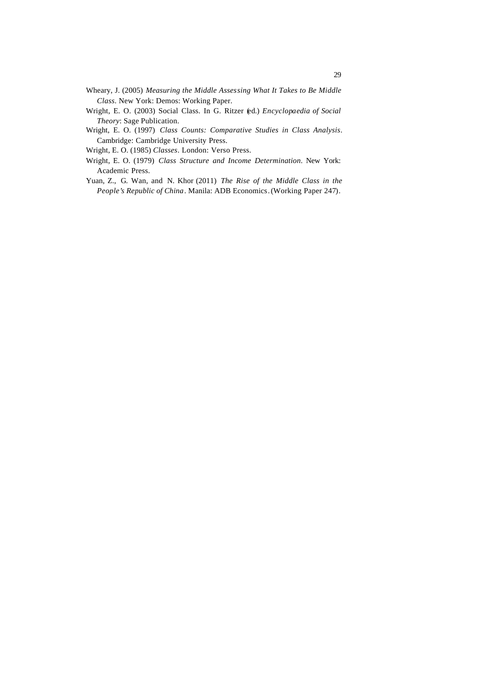- Wheary, J. (2005) *Measuring the Middle Assessing What It Takes to Be Middle Class*. New York: Demos: Working Paper.
- Wright, E. O. (2003) Social Class. In G. Ritzer (ed.) *Encyclopaedia of Social Theory*: Sage Publication.
- Wright, E. O. (1997) *Class Counts: Comparative Studies in Class Analysis*. Cambridge: Cambridge University Press.

Wright, E. O. (1985) *Classes*. London: Verso Press.

- Wright, E. O. (1979) *Class Structure and Income Determination*. New York: Academic Press.
- Yuan, Z., G. Wan, and N. Khor (2011) *The Rise of the Middle Class in the People's Republic of China*. Manila: ADB Economics.(Working Paper 247).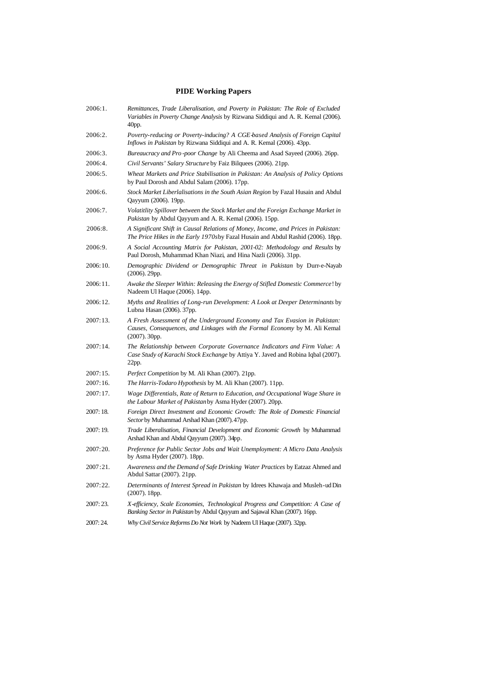# **PIDE Working Papers**

| 2006:1.    | Remittances, Trade Liberalisation, and Poverty in Pakistan: The Role of Excluded<br>Variables in Poverty Change Analysis by Rizwana Siddiqui and A. R. Kemal (2006).<br>40pp. |
|------------|-------------------------------------------------------------------------------------------------------------------------------------------------------------------------------|
| 2006:2.    | Poverty-reducing or Poverty-inducing? A CGE-based Analysis of Foreign Capital<br>Inflows in Pakistan by Rizwana Siddiqui and A. R. Kemal (2006). 43pp.                        |
| 2006:3.    | Bureaucracy and Pro-poor Change by Ali Cheema and Asad Sayeed (2006). 26pp.                                                                                                   |
| 2006:4.    | Civil Servants' Salary Structure by Faiz Bilquees (2006). 21pp.                                                                                                               |
| 2006:5.    | Wheat Markets and Price Stabilisation in Pakistan: An Analysis of Policy Options<br>by Paul Dorosh and Abdul Salam (2006). 17pp.                                              |
| 2006:6.    | Stock Market Liberlalisations in the South Asian Region by Fazal Husain and Abdul<br>Qayyum (2006). 19pp.                                                                     |
| $2006:7$ . | Volatitlity Spillover between the Stock Market and the Foreign Exchange Market in<br>Pakistan by Abdul Qayyum and A. R. Kemal (2006). 15pp.                                   |
| 2006:8.    | A Significant Shift in Causal Relations of Money, Income, and Prices in Pakistan:<br>The Price Hikes in the Early 1970sby Fazal Husain and Abdul Rashid (2006). 18pp.         |
| 2006:9.    | A Social Accounting Matrix for Pakistan, 2001-02: Methodology and Results by<br>Paul Dorosh, Muhammad Khan Niazi, and Hina Nazli (2006). 31pp.                                |
| 2006:10.   | Demographic Dividend or Demographic Threat in Pakistan by Durr-e-Nayab<br>$(2006)$ . 29pp.                                                                                    |
| 2006:11.   | Awake the Sleeper Within: Releasing the Energy of Stifled Domestic Commerce! by<br>Nadeem Ul Haque (2006). 14pp.                                                              |
| 2006:12.   | Myths and Realities of Long-run Development: A Look at Deeper Determinants by<br>Lubna Hasan (2006). 37pp.                                                                    |
| 2007:13.   | A Fresh Assessment of the Underground Economy and Tax Evasion in Pakistan:<br>Causes, Consequences, and Linkages with the Formal Economy by M. Ali Kemal<br>$(2007)$ . 30pp.  |
| 2007:14.   | The Relationship between Corporate Governance Indicators and Firm Value: A<br>Case Study of Karachi Stock Exchange by Attiya Y. Javed and Robina Iqbal (2007).<br>22pp.       |
| 2007:15.   | <i>Perfect Competition</i> by M. Ali Khan (2007). 21pp.                                                                                                                       |
| 2007:16.   | The Harris-Todaro Hypothesis by M. Ali Khan (2007). 11pp.                                                                                                                     |
| 2007:17.   | Wage Differentials, Rate of Return to Education, and Occupational Wage Share in<br>the Labour Market of Pakistan by Asma Hyder (2007). 20pp.                                  |
| 2007:18.   | Foreign Direct Investment and Economic Growth: The Role of Domestic Financial<br>Sector by Muhammad Arshad Khan (2007). 47pp.                                                 |
| 2007:19.   | Trade Liberalisation, Financial Development and Economic Growth by Muhammad<br>Arshad Khan and Abdul Qayyum (2007). 34pp.                                                     |
| 2007:20.   | Preference for Public Sector Jobs and Wait Unemployment: A Micro Data Analysis<br>by Asma Hyder $(2007)$ . 18pp.                                                              |
| 2007:21.   | Awareness and the Demand of Safe Drinking Water Practices by Eatzaz Ahmed and<br>Abdul Sattar (2007). 21pp.                                                                   |
| 2007:22.   | Determinants of Interest Spread in Pakistan by Idrees Khawaja and Musleh-ud Din<br>$(2007)$ . 18pp.                                                                           |
| 2007:23.   | X-efficiency, Scale Economies, Technological Progress and Competition: A Case of<br>Banking Sector in Pakistan by Abdul Qayyum and Sajawal Khan (2007). 16pp.                 |
| 2007:24.   | Why Civil Service Reforms Do Not Work by Nadeem Ul Haque (2007). 32pp.                                                                                                        |
|            |                                                                                                                                                                               |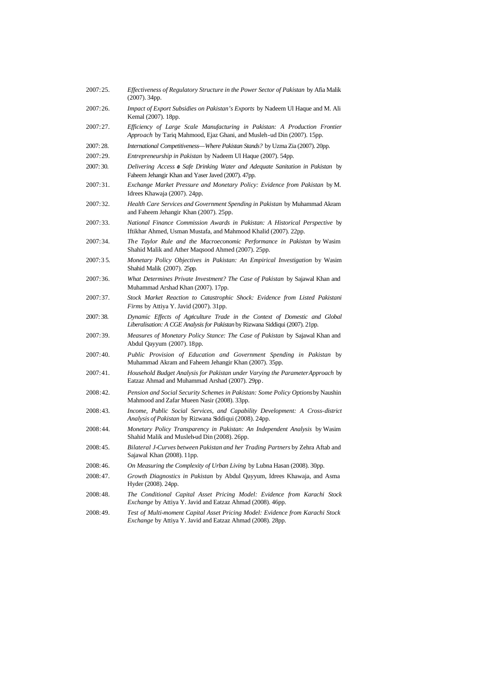| 2007:25.    | <i>Effectiveness of Regulatory Structure in the Power Sector of Pakistan by Afia Malik</i><br>$(2007)$ . 34pp.                                              |
|-------------|-------------------------------------------------------------------------------------------------------------------------------------------------------------|
| 2007:26.    | Impact of Export Subsidies on Pakistan's Exports by Nadeem Ul Haque and M. Ali<br>Kemal (2007). 18pp.                                                       |
| 2007:27.    | Efficiency of Large Scale Manufacturing in Pakistan: A Production Frontier<br>Approach by Tariq Mahmood, Ejaz Ghani, and Musleh-ud Din (2007). 15pp.        |
| 2007: 28.   | International Competitiveness—Where Pakistan Stands? by Uzma Zia (2007). 20pp.                                                                              |
| 2007:29.    | Entrepreneurship in Pakistan by Nadeem Ul Haque (2007). 54pp.                                                                                               |
| 2007: 30.   | Delivering Access $\phi$ Safe Drinking Water and Adequate Sanitation in Pakistan by<br>Faheem Jehangir Khan and Yaser Javed (2007). 47pp.                   |
| 2007:31.    | Exchange Market Pressure and Monetary Policy: Evidence from Pakistan by M.<br>Idrees Khawaja (2007). 24pp.                                                  |
| 2007:32.    | Health Care Services and Government Spending in Pakistan by Muhammad Akram<br>and Faheem Jehangir Khan (2007). 25pp.                                        |
| 2007:33.    | National Finance Commission Awards in Pakistan: A Historical Perspective by<br>Iftikhar Ahmed, Usman Mustafa, and Mahmood Khalid (2007). 22pp.              |
| 2007:34.    | The Taylor Rule and the Macroeconomic Performance in Pakistan by Wasim<br>Shahid Malik and Ather Maqsood Ahmed (2007). 25pp.                                |
| $2007:35$ . | Monetary Policy Objectives in Pakistan: An Empirical Investigation by Wasim<br>Shahid Malik (2007). 25pp.                                                   |
| 2007:36.    | What Determines Private Investment? The Case of Pakistan by Sajawal Khan and<br>Muhammad Arshad Khan (2007). 17pp.                                          |
| 2007:37.    | Stock Market Reaction to Catastrophic Shock: Evidence from Listed Pakistani<br>Firms by Attiya Y. Javid (2007). 31pp.                                       |
| 2007: 38.   | Dynamic Effects of Agriculture Trade in the Context of Domestic and Global<br>Liberalisation: A CGE Analysis for Pakistan by Rizwana Siddiqui (2007). 21pp. |
| 2007:39.    | Measures of Monetary Policy Stance: The Case of Pakistan by Sajawal Khan and<br>Abdul Qayyum (2007). 18pp.                                                  |
| 2007:40.    | Public Provision of Education and Government Spending in Pakistan by<br>Muhammad Akram and Faheem Jehangir Khan (2007). 35pp.                               |
| 2007:41.    | Household Budget Analysis for Pakistan under Varying the ParameterApproach by<br>Eatzaz Ahmad and Muhammad Arshad (2007). 29pp.                             |
| 2008:42.    | Pension and Social Security Schemes in Pakistan: Some Policy Optionsby Naushin<br>Mahmood and Zafar Mueen Nasir (2008). 33pp.                               |
| 2008:43.    | Income, Public Social Services, and Capability Development: A Cross-district<br>Analysis of Pakistan by Rizwana Siddiqui (2008). 24pp.                      |
| 2008:44.    | Monetary Policy Transparency in Pakistan: An Independent Analysis by Wasim<br>Shahid Malik and Musleh-ud Din (2008). 26pp.                                  |
| 2008:45.    | Bilateral J-Curves between Pakistan and her Trading Partners by Zehra Aftab and<br>Sajawal Khan (2008). 11pp.                                               |
| 2008:46.    | On Measuring the Complexity of Urban Living by Lubna Hasan (2008). 30pp.                                                                                    |
| 2008:47.    | Growth Diagnostics in Pakistan by Abdul Qayyum, Idrees Khawaja, and Asma<br>Hyder (2008). 24pp.                                                             |
| 2008:48.    | The Conditional Capital Asset Pricing Model: Evidence from Karachi Stock<br>Exchange by Attiya Y. Javid and Eatzaz Ahmad (2008). 46pp.                      |
| 2008:49.    | Test of Multi-moment Capital Asset Pricing Model: Evidence from Karachi Stock<br>Exchange by Attiya Y. Javid and Eatzaz Ahmad (2008). 28pp.                 |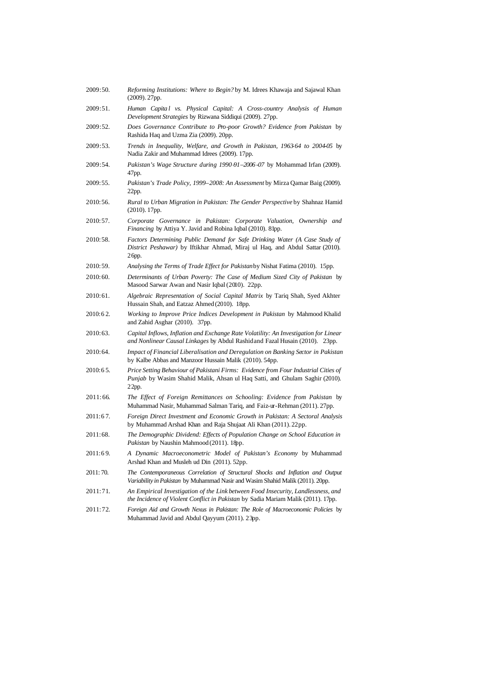| 2009:50.  | <i>Reforming Institutions: Where to Begin?</i> by M. Idrees Khawaja and Sajawal Khan<br>$(2009)$ . 27pp.                                                                           |
|-----------|------------------------------------------------------------------------------------------------------------------------------------------------------------------------------------|
| 2009:51.  | Human Capital vs. Physical Capital: A Cross-country Analysis of Human<br>Development Strategies by Rizwana Siddiqui (2009). 27pp.                                                  |
| 2009:52.  | Does Governance Contribute to Pro-poor Growth? Evidence from Pakistan by<br>Rashida Haq and Uzma Zia (2009). 20pp.                                                                 |
| 2009:53.  | Trends in Inequality, Welfare, and Growth in Pakistan, 1963-64 to 2004-05 by<br>Nadia Zakir and Muhammad Idrees (2009). 17pp.                                                      |
| 2009:54.  | Pakistan's Wage Structure during 1990-91-2006-07 by Mohammad Irfan (2009).<br>47pp.                                                                                                |
| 2009:55.  | Pakistan's Trade Policy, 1999–2008: An Assessment by Mirza Qamar Baig (2009).<br>22pp.                                                                                             |
| 2010:56.  | Rural to Urban Migration in Pakistan: The Gender Perspective by Shahnaz Hamid<br>$(2010)$ . 17pp.                                                                                  |
| 2010:57.  | Corporate Governance in Pakistan: Corporate Valuation, Ownership and<br>Financing by Attiya Y. Javid and Robina Iqbal (2010). 81pp.                                                |
| 2010:58.  | Factors Determining Public Demand for Safe Drinking Water (A Case Study of<br>District Peshawar) by Iftikhar Ahmad, Miraj ul Haq, and Abdul Sattar (2010).<br>26pp.                |
| 2010:59.  | Analysing the Terms of Trade Effect for Pakistan by Nishat Fatima (2010). 15pp.                                                                                                    |
| 2010:60.  | Determinants of Urban Poverty: The Case of Medium Sized City of Pakistan by<br>Masood Sarwar Awan and Nasir Iqbal (2010). 22pp.                                                    |
| 2010:61.  | Algebraic Representation of Social Capital Matrix by Tariq Shah, Syed Akhter<br>Hussain Shah, and Eatzaz Ahmed (2010). 18pp.                                                       |
| 2010:62.  | Working to Improve Price Indices Development in Pakistan by Mahmood Khalid<br>and Zahid Asghar (2010). 37pp.                                                                       |
| 2010:63.  | Capital Inflows, Inflation and Exchange Rate Volatility: An Investigation for Linear<br>and Nonlinear Causal Linkages by Abdul Rashid and Fazal Husain (2010). 23pp.               |
| 2010:64.  | Impact of Financial Liberalisation and Deregulation on Banking Sector in Pakistan<br>by Kalbe Abbas and Manzoor Hussain Malik (2010). 54pp.                                        |
| 2010:65.  | Price Setting Behaviour of Pakistani Firms: Evidence from Four Industrial Cities of<br><i>Punjab</i> by Wasim Shahid Malik, Ahsan ul Haq Satti, and Ghulam Saghir (2010).<br>22pp. |
| 2011:66.  | The Effect of Foreign Remittances on Schooling: Evidence from Pakistan by<br>Muhammad Nasir, Muhammad Salman Tariq, and Faiz-ur-Rehman (2011). 27pp.                               |
| 2011:67.  | Foreign Direct Investment and Economic Growth in Pakistan: A Sectoral Analysis<br>by Muhammad Arshad Khan and Raja Shujaat Ali Khan (2011). 22pp.                                  |
| 2011:68.  | The Demographic Dividend: Effects of Population Change on School Education in<br>Pakistan by Naushin Mahmood (2011). 18pp.                                                         |
| 2011:69.  | A Dynamic Macroeconometric Model of Pakistan's Economy by Muhammad<br>Arshad Khan and Musleh ud Din (2011). 52pp.                                                                  |
| 2011: 70. | The Contemporaneous Correlation of Structural Shocks and Inflation and Output<br>Variability in Pakistan by Muhammad Nasir and Wasim Shahid Malik (2011). 20pp.                    |
| 2011:71.  | An Empirical Investigation of the Link between Food Insecurity, Landlessness, and<br>the Incidence of Violent Conflict in Pakistan by Sadia Mariam Malik (2011). 17pp.             |
| 2011:72.  | Foreign Aid and Growth Nexus in Pakistan: The Role of Macroeconomic Policies by<br>Muhammad Javid and Abdul Qayyum (2011). 23pp.                                                   |